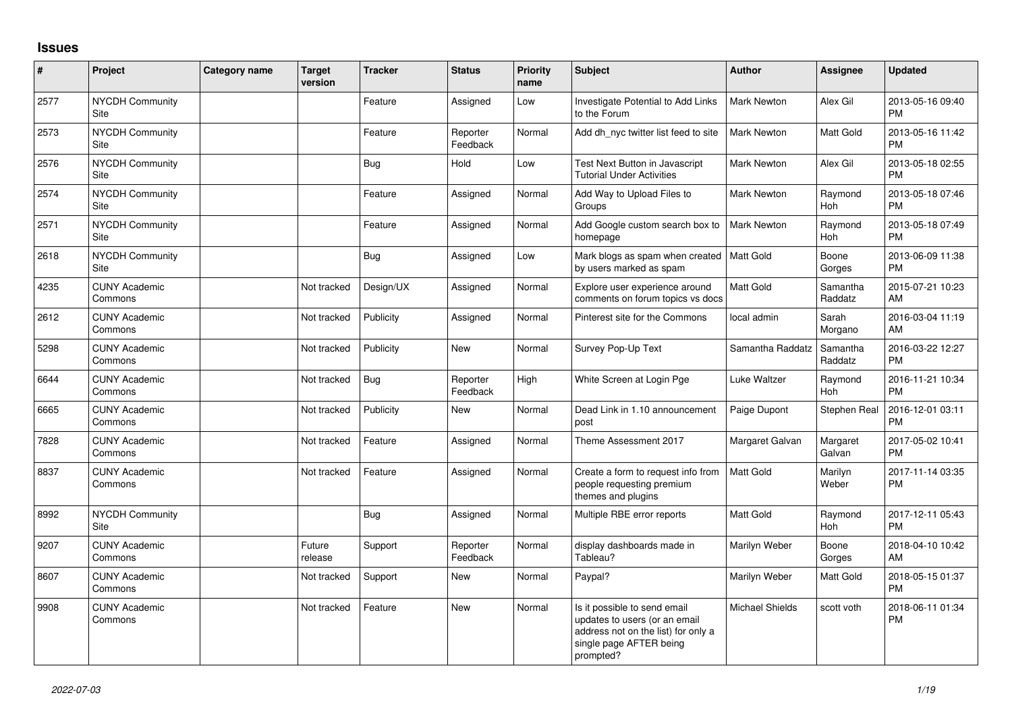## **Issues**

| #    | Project                         | <b>Category name</b> | <b>Target</b><br>version | <b>Tracker</b> | <b>Status</b>        | <b>Priority</b><br>name | <b>Subject</b>                                                                                                                               | <b>Author</b>          | Assignee              | <b>Updated</b>                |
|------|---------------------------------|----------------------|--------------------------|----------------|----------------------|-------------------------|----------------------------------------------------------------------------------------------------------------------------------------------|------------------------|-----------------------|-------------------------------|
| 2577 | <b>NYCDH Community</b><br>Site  |                      |                          | Feature        | Assigned             | Low                     | Investigate Potential to Add Links<br>to the Forum                                                                                           | <b>Mark Newton</b>     | Alex Gil              | 2013-05-16 09:40<br><b>PM</b> |
| 2573 | <b>NYCDH Community</b><br>Site  |                      |                          | Feature        | Reporter<br>Feedback | Normal                  | Add dh nyc twitter list feed to site                                                                                                         | <b>Mark Newton</b>     | Matt Gold             | 2013-05-16 11:42<br><b>PM</b> |
| 2576 | <b>NYCDH Community</b><br>Site  |                      |                          | Bug            | Hold                 | Low                     | Test Next Button in Javascript<br><b>Tutorial Under Activities</b>                                                                           | Mark Newton            | Alex Gil              | 2013-05-18 02:55<br><b>PM</b> |
| 2574 | <b>NYCDH Community</b><br>Site  |                      |                          | Feature        | Assigned             | Normal                  | Add Way to Upload Files to<br>Groups                                                                                                         | Mark Newton            | Raymond<br>Hoh        | 2013-05-18 07:46<br><b>PM</b> |
| 2571 | NYCDH Community<br>Site         |                      |                          | Feature        | Assigned             | Normal                  | Add Google custom search box to<br>homepage                                                                                                  | Mark Newton            | Raymond<br>Hoh        | 2013-05-18 07:49<br><b>PM</b> |
| 2618 | <b>NYCDH Community</b><br>Site  |                      |                          | Bug            | Assigned             | Low                     | Mark blogs as spam when created<br>by users marked as spam                                                                                   | <b>Matt Gold</b>       | Boone<br>Gorges       | 2013-06-09 11:38<br><b>PM</b> |
| 4235 | <b>CUNY Academic</b><br>Commons |                      | Not tracked              | Design/UX      | Assigned             | Normal                  | Explore user experience around<br>comments on forum topics vs docs                                                                           | <b>Matt Gold</b>       | Samantha<br>Raddatz   | 2015-07-21 10:23<br>AM        |
| 2612 | <b>CUNY Academic</b><br>Commons |                      | Not tracked              | Publicity      | Assigned             | Normal                  | Pinterest site for the Commons                                                                                                               | local admin            | Sarah<br>Morgano      | 2016-03-04 11:19<br>AM        |
| 5298 | <b>CUNY Academic</b><br>Commons |                      | Not tracked              | Publicity      | New                  | Normal                  | Survey Pop-Up Text                                                                                                                           | Samantha Raddatz       | Samantha<br>Raddatz   | 2016-03-22 12:27<br><b>PM</b> |
| 6644 | <b>CUNY Academic</b><br>Commons |                      | Not tracked              | Bug            | Reporter<br>Feedback | High                    | White Screen at Login Pge                                                                                                                    | Luke Waltzer           | Raymond<br><b>Hoh</b> | 2016-11-21 10:34<br><b>PM</b> |
| 6665 | <b>CUNY Academic</b><br>Commons |                      | Not tracked              | Publicity      | New                  | Normal                  | Dead Link in 1.10 announcement<br>post                                                                                                       | Paige Dupont           | Stephen Real          | 2016-12-01 03:11<br><b>PM</b> |
| 7828 | <b>CUNY Academic</b><br>Commons |                      | Not tracked              | Feature        | Assigned             | Normal                  | Theme Assessment 2017                                                                                                                        | Margaret Galvan        | Margaret<br>Galvan    | 2017-05-02 10:41<br><b>PM</b> |
| 8837 | <b>CUNY Academic</b><br>Commons |                      | Not tracked              | Feature        | Assigned             | Normal                  | Create a form to request info from<br>people requesting premium<br>themes and plugins                                                        | <b>Matt Gold</b>       | Marilyn<br>Weber      | 2017-11-14 03:35<br><b>PM</b> |
| 8992 | <b>NYCDH Community</b><br>Site  |                      |                          | Bug            | Assigned             | Normal                  | Multiple RBE error reports                                                                                                                   | <b>Matt Gold</b>       | Raymond<br>Hoh        | 2017-12-11 05:43<br><b>PM</b> |
| 9207 | <b>CUNY Academic</b><br>Commons |                      | Future<br>release        | Support        | Reporter<br>Feedback | Normal                  | display dashboards made in<br>Tableau?                                                                                                       | Marilyn Weber          | Boone<br>Gorges       | 2018-04-10 10:42<br>AM        |
| 8607 | <b>CUNY Academic</b><br>Commons |                      | Not tracked              | Support        | <b>New</b>           | Normal                  | Paypal?                                                                                                                                      | Marilyn Weber          | Matt Gold             | 2018-05-15 01:37<br><b>PM</b> |
| 9908 | <b>CUNY Academic</b><br>Commons |                      | Not tracked              | Feature        | <b>New</b>           | Normal                  | Is it possible to send email<br>updates to users (or an email<br>address not on the list) for only a<br>single page AFTER being<br>prompted? | <b>Michael Shields</b> | scott voth            | 2018-06-11 01:34<br><b>PM</b> |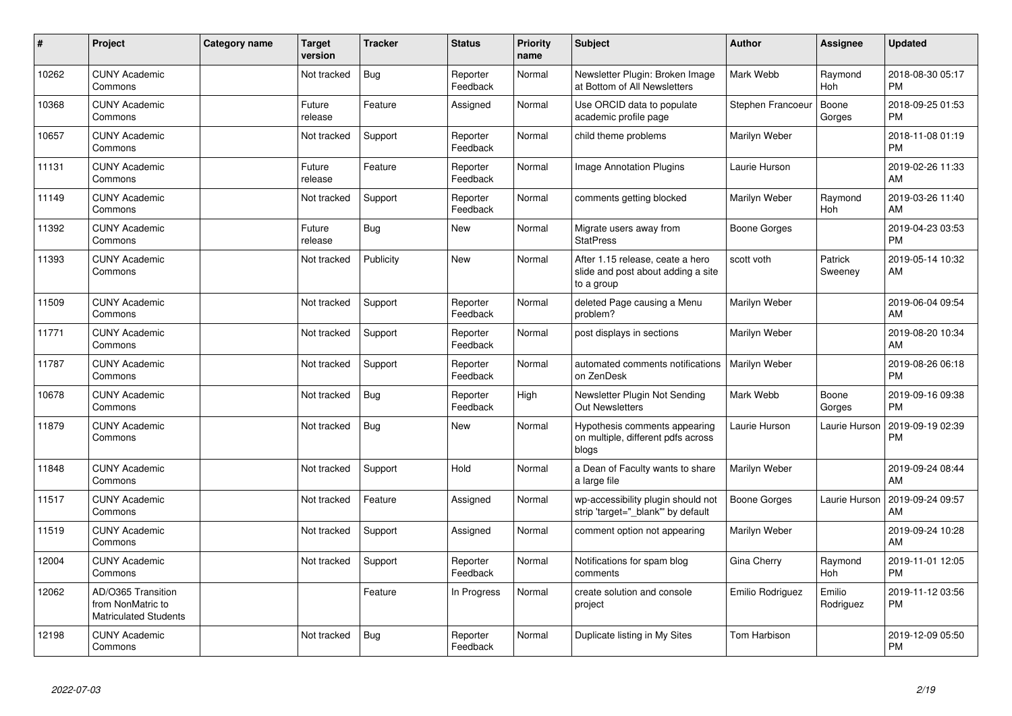| #     | Project                                                                 | Category name | <b>Target</b><br>version | <b>Tracker</b> | <b>Status</b>        | <b>Priority</b><br>name | <b>Subject</b>                                                                       | Author              | <b>Assignee</b>       | <b>Updated</b>                |
|-------|-------------------------------------------------------------------------|---------------|--------------------------|----------------|----------------------|-------------------------|--------------------------------------------------------------------------------------|---------------------|-----------------------|-------------------------------|
| 10262 | <b>CUNY Academic</b><br>Commons                                         |               | Not tracked              | Bug            | Reporter<br>Feedback | Normal                  | Newsletter Plugin: Broken Image<br>at Bottom of All Newsletters                      | Mark Webb           | Raymond<br><b>Hoh</b> | 2018-08-30 05:17<br><b>PM</b> |
| 10368 | <b>CUNY Academic</b><br>Commons                                         |               | Future<br>release        | Feature        | Assigned             | Normal                  | Use ORCID data to populate<br>academic profile page                                  | Stephen Francoeur   | Boone<br>Gorges       | 2018-09-25 01:53<br><b>PM</b> |
| 10657 | <b>CUNY Academic</b><br>Commons                                         |               | Not tracked              | Support        | Reporter<br>Feedback | Normal                  | child theme problems                                                                 | Marilyn Weber       |                       | 2018-11-08 01:19<br><b>PM</b> |
| 11131 | <b>CUNY Academic</b><br>Commons                                         |               | Future<br>release        | Feature        | Reporter<br>Feedback | Normal                  | Image Annotation Plugins                                                             | Laurie Hurson       |                       | 2019-02-26 11:33<br>AM        |
| 11149 | <b>CUNY Academic</b><br>Commons                                         |               | Not tracked              | Support        | Reporter<br>Feedback | Normal                  | comments getting blocked                                                             | Marilyn Weber       | Raymond<br>Hoh        | 2019-03-26 11:40<br>AM        |
| 11392 | <b>CUNY Academic</b><br>Commons                                         |               | Future<br>release        | Bug            | <b>New</b>           | Normal                  | Migrate users away from<br><b>StatPress</b>                                          | <b>Boone Gorges</b> |                       | 2019-04-23 03:53<br><b>PM</b> |
| 11393 | <b>CUNY Academic</b><br>Commons                                         |               | Not tracked              | Publicity      | <b>New</b>           | Normal                  | After 1.15 release, ceate a hero<br>slide and post about adding a site<br>to a group | scott voth          | Patrick<br>Sweeney    | 2019-05-14 10:32<br>AM        |
| 11509 | <b>CUNY Academic</b><br>Commons                                         |               | Not tracked              | Support        | Reporter<br>Feedback | Normal                  | deleted Page causing a Menu<br>problem?                                              | Marilyn Weber       |                       | 2019-06-04 09:54<br>AM        |
| 11771 | <b>CUNY Academic</b><br>Commons                                         |               | Not tracked              | Support        | Reporter<br>Feedback | Normal                  | post displays in sections                                                            | Marilyn Weber       |                       | 2019-08-20 10:34<br>AM        |
| 11787 | <b>CUNY Academic</b><br>Commons                                         |               | Not tracked              | Support        | Reporter<br>Feedback | Normal                  | automated comments notifications<br>on ZenDesk                                       | Marilyn Weber       |                       | 2019-08-26 06:18<br><b>PM</b> |
| 10678 | <b>CUNY Academic</b><br>Commons                                         |               | Not tracked              | Bug            | Reporter<br>Feedback | High                    | Newsletter Plugin Not Sending<br>Out Newsletters                                     | Mark Webb           | Boone<br>Gorges       | 2019-09-16 09:38<br><b>PM</b> |
| 11879 | <b>CUNY Academic</b><br>Commons                                         |               | Not tracked              | Bug            | New                  | Normal                  | Hypothesis comments appearing<br>on multiple, different pdfs across<br>blogs         | Laurie Hurson       | Laurie Hurson         | 2019-09-19 02:39<br><b>PM</b> |
| 11848 | <b>CUNY Academic</b><br>Commons                                         |               | Not tracked              | Support        | Hold                 | Normal                  | a Dean of Faculty wants to share<br>a large file                                     | Marilyn Weber       |                       | 2019-09-24 08:44<br>AM        |
| 11517 | <b>CUNY Academic</b><br>Commons                                         |               | Not tracked              | Feature        | Assigned             | Normal                  | wp-accessibility plugin should not<br>strip 'target="_blank"' by default             | <b>Boone Gorges</b> | Laurie Hurson         | 2019-09-24 09:57<br>AM        |
| 11519 | <b>CUNY Academic</b><br>Commons                                         |               | Not tracked              | Support        | Assigned             | Normal                  | comment option not appearing                                                         | Marilyn Weber       |                       | 2019-09-24 10:28<br>AM        |
| 12004 | <b>CUNY Academic</b><br>Commons                                         |               | Not tracked              | Support        | Reporter<br>Feedback | Normal                  | Notifications for spam blog<br>comments                                              | Gina Cherry         | Raymond<br>Hoh        | 2019-11-01 12:05<br><b>PM</b> |
| 12062 | AD/O365 Transition<br>from NonMatric to<br><b>Matriculated Students</b> |               |                          | Feature        | In Progress          | Normal                  | create solution and console<br>project                                               | Emilio Rodriguez    | Emilio<br>Rodriguez   | 2019-11-12 03:56<br>PM        |
| 12198 | <b>CUNY Academic</b><br>Commons                                         |               | Not tracked              | <b>Bug</b>     | Reporter<br>Feedback | Normal                  | Duplicate listing in My Sites                                                        | <b>Tom Harbison</b> |                       | 2019-12-09 05:50<br>PM        |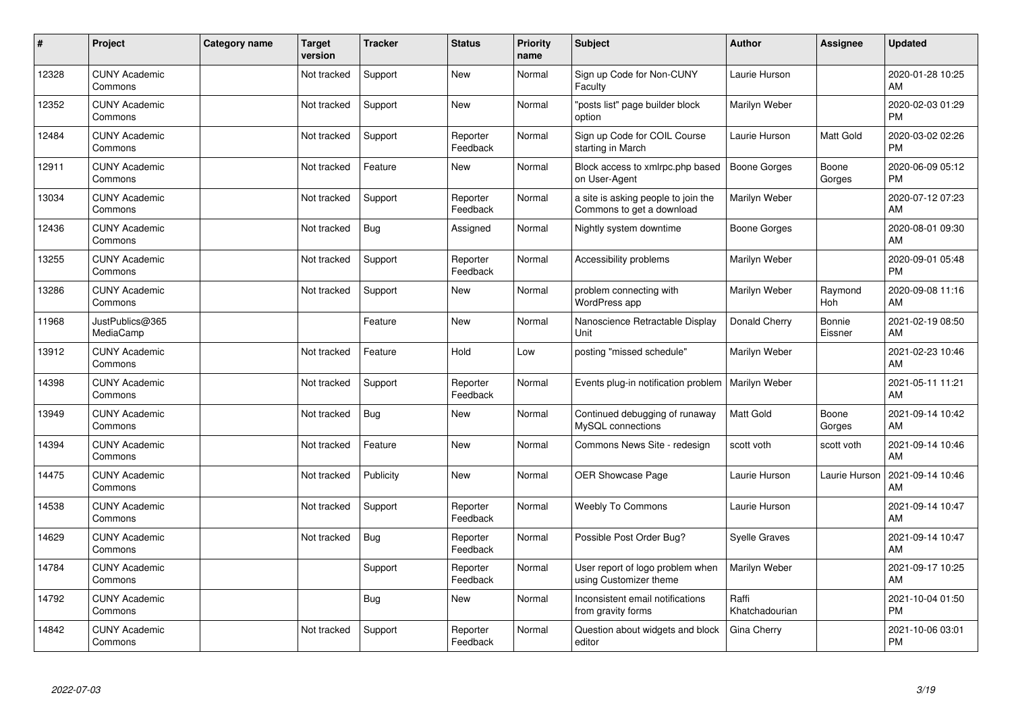| #     | Project                         | Category name | <b>Target</b><br>version | <b>Tracker</b> | <b>Status</b>        | <b>Priority</b><br>name | <b>Subject</b>                                                   | <b>Author</b>           | Assignee              | <b>Updated</b>                |
|-------|---------------------------------|---------------|--------------------------|----------------|----------------------|-------------------------|------------------------------------------------------------------|-------------------------|-----------------------|-------------------------------|
| 12328 | <b>CUNY Academic</b><br>Commons |               | Not tracked              | Support        | <b>New</b>           | Normal                  | Sign up Code for Non-CUNY<br>Faculty                             | Laurie Hurson           |                       | 2020-01-28 10:25<br>AM        |
| 12352 | <b>CUNY Academic</b><br>Commons |               | Not tracked              | Support        | <b>New</b>           | Normal                  | "posts list" page builder block<br>option                        | Marilyn Weber           |                       | 2020-02-03 01:29<br><b>PM</b> |
| 12484 | <b>CUNY Academic</b><br>Commons |               | Not tracked              | Support        | Reporter<br>Feedback | Normal                  | Sign up Code for COIL Course<br>starting in March                | Laurie Hurson           | Matt Gold             | 2020-03-02 02:26<br><b>PM</b> |
| 12911 | <b>CUNY Academic</b><br>Commons |               | Not tracked              | Feature        | <b>New</b>           | Normal                  | Block access to xmlrpc.php based<br>on User-Agent                | Boone Gorges            | Boone<br>Gorges       | 2020-06-09 05:12<br><b>PM</b> |
| 13034 | <b>CUNY Academic</b><br>Commons |               | Not tracked              | Support        | Reporter<br>Feedback | Normal                  | a site is asking people to join the<br>Commons to get a download | Marilyn Weber           |                       | 2020-07-12 07:23<br>AM        |
| 12436 | <b>CUNY Academic</b><br>Commons |               | Not tracked              | Bug            | Assigned             | Normal                  | Nightly system downtime                                          | <b>Boone Gorges</b>     |                       | 2020-08-01 09:30<br>AM        |
| 13255 | <b>CUNY Academic</b><br>Commons |               | Not tracked              | Support        | Reporter<br>Feedback | Normal                  | Accessibility problems                                           | Marilyn Weber           |                       | 2020-09-01 05:48<br><b>PM</b> |
| 13286 | <b>CUNY Academic</b><br>Commons |               | Not tracked              | Support        | <b>New</b>           | Normal                  | problem connecting with<br>WordPress app                         | Marilyn Weber           | Raymond<br><b>Hoh</b> | 2020-09-08 11:16<br>AM        |
| 11968 | JustPublics@365<br>MediaCamp    |               |                          | Feature        | <b>New</b>           | Normal                  | Nanoscience Retractable Display<br>Unit                          | Donald Cherry           | Bonnie<br>Eissner     | 2021-02-19 08:50<br>AM        |
| 13912 | <b>CUNY Academic</b><br>Commons |               | Not tracked              | Feature        | Hold                 | Low                     | posting "missed schedule"                                        | Marilyn Weber           |                       | 2021-02-23 10:46<br>AM        |
| 14398 | <b>CUNY Academic</b><br>Commons |               | Not tracked              | Support        | Reporter<br>Feedback | Normal                  | Events plug-in notification problem                              | Marilyn Weber           |                       | 2021-05-11 11:21<br>AM        |
| 13949 | <b>CUNY Academic</b><br>Commons |               | Not tracked              | Bug            | <b>New</b>           | Normal                  | Continued debugging of runaway<br>MySQL connections              | Matt Gold               | Boone<br>Gorges       | 2021-09-14 10:42<br>AM        |
| 14394 | <b>CUNY Academic</b><br>Commons |               | Not tracked              | Feature        | <b>New</b>           | Normal                  | Commons News Site - redesign                                     | scott voth              | scott voth            | 2021-09-14 10:46<br>AM        |
| 14475 | <b>CUNY Academic</b><br>Commons |               | Not tracked              | Publicity      | <b>New</b>           | Normal                  | OER Showcase Page                                                | Laurie Hurson           | Laurie Hurson         | 2021-09-14 10:46<br>AM        |
| 14538 | <b>CUNY Academic</b><br>Commons |               | Not tracked              | Support        | Reporter<br>Feedback | Normal                  | <b>Weebly To Commons</b>                                         | Laurie Hurson           |                       | 2021-09-14 10:47<br>AM        |
| 14629 | <b>CUNY Academic</b><br>Commons |               | Not tracked              | Bug            | Reporter<br>Feedback | Normal                  | Possible Post Order Bug?                                         | <b>Syelle Graves</b>    |                       | 2021-09-14 10:47<br>AM        |
| 14784 | <b>CUNY Academic</b><br>Commons |               |                          | Support        | Reporter<br>Feedback | Normal                  | User report of logo problem when<br>using Customizer theme       | Marilyn Weber           |                       | 2021-09-17 10:25<br>AM        |
| 14792 | <b>CUNY Academic</b><br>Commons |               |                          | Bug            | <b>New</b>           | Normal                  | Inconsistent email notifications<br>from gravity forms           | Raffi<br>Khatchadourian |                       | 2021-10-04 01:50<br><b>PM</b> |
| 14842 | <b>CUNY Academic</b><br>Commons |               | Not tracked              | Support        | Reporter<br>Feedback | Normal                  | Question about widgets and block<br>editor                       | Gina Cherry             |                       | 2021-10-06 03:01<br><b>PM</b> |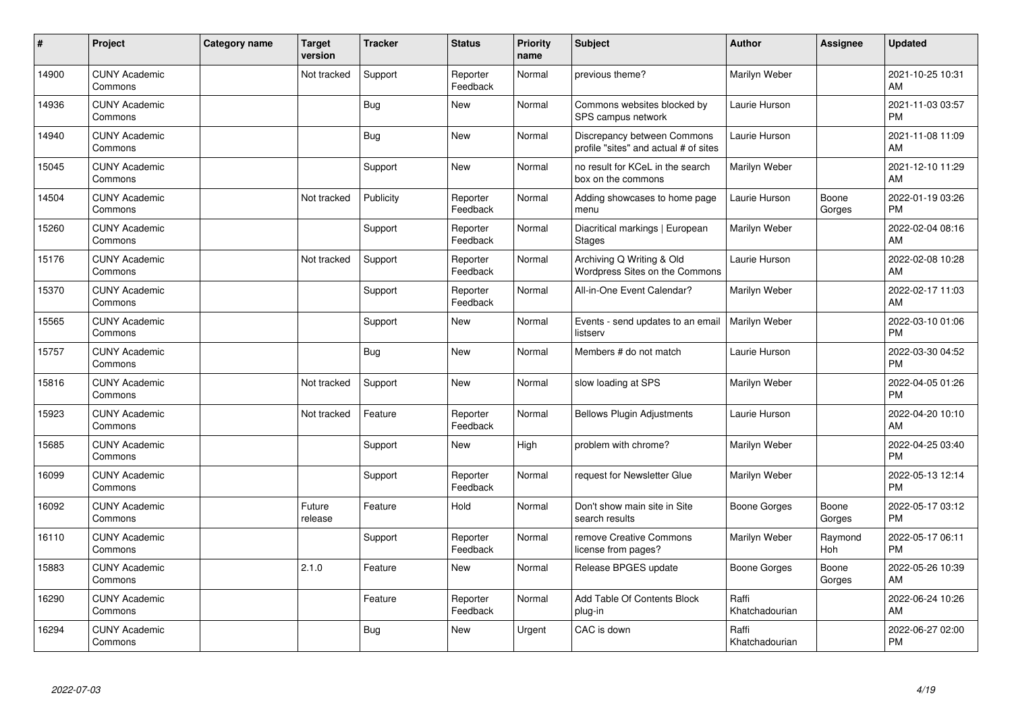| $\#$  | Project                         | <b>Category name</b> | <b>Target</b><br>version | <b>Tracker</b> | <b>Status</b>        | <b>Priority</b><br>name | <b>Subject</b>                                                       | <b>Author</b>           | Assignee        | <b>Updated</b>                |
|-------|---------------------------------|----------------------|--------------------------|----------------|----------------------|-------------------------|----------------------------------------------------------------------|-------------------------|-----------------|-------------------------------|
| 14900 | <b>CUNY Academic</b><br>Commons |                      | Not tracked              | Support        | Reporter<br>Feedback | Normal                  | previous theme?                                                      | Marilyn Weber           |                 | 2021-10-25 10:31<br>AM        |
| 14936 | <b>CUNY Academic</b><br>Commons |                      |                          | Bug            | <b>New</b>           | Normal                  | Commons websites blocked by<br>SPS campus network                    | Laurie Hurson           |                 | 2021-11-03 03:57<br><b>PM</b> |
| 14940 | <b>CUNY Academic</b><br>Commons |                      |                          | Bug            | <b>New</b>           | Normal                  | Discrepancy between Commons<br>profile "sites" and actual # of sites | Laurie Hurson           |                 | 2021-11-08 11:09<br>AM        |
| 15045 | <b>CUNY Academic</b><br>Commons |                      |                          | Support        | <b>New</b>           | Normal                  | no result for KCeL in the search<br>box on the commons               | Marilyn Weber           |                 | 2021-12-10 11:29<br>AM        |
| 14504 | <b>CUNY Academic</b><br>Commons |                      | Not tracked              | Publicity      | Reporter<br>Feedback | Normal                  | Adding showcases to home page<br>menu                                | Laurie Hurson           | Boone<br>Gorges | 2022-01-19 03:26<br><b>PM</b> |
| 15260 | <b>CUNY Academic</b><br>Commons |                      |                          | Support        | Reporter<br>Feedback | Normal                  | Diacritical markings   European<br><b>Stages</b>                     | Marilyn Weber           |                 | 2022-02-04 08:16<br>AM        |
| 15176 | <b>CUNY Academic</b><br>Commons |                      | Not tracked              | Support        | Reporter<br>Feedback | Normal                  | Archiving Q Writing & Old<br>Wordpress Sites on the Commons          | Laurie Hurson           |                 | 2022-02-08 10:28<br>AM        |
| 15370 | <b>CUNY Academic</b><br>Commons |                      |                          | Support        | Reporter<br>Feedback | Normal                  | All-in-One Event Calendar?                                           | Marilyn Weber           |                 | 2022-02-17 11:03<br>AM        |
| 15565 | <b>CUNY Academic</b><br>Commons |                      |                          | Support        | <b>New</b>           | Normal                  | Events - send updates to an email<br>listserv                        | Marilyn Weber           |                 | 2022-03-10 01:06<br><b>PM</b> |
| 15757 | <b>CUNY Academic</b><br>Commons |                      |                          | <b>Bug</b>     | <b>New</b>           | Normal                  | Members # do not match                                               | Laurie Hurson           |                 | 2022-03-30 04:52<br><b>PM</b> |
| 15816 | <b>CUNY Academic</b><br>Commons |                      | Not tracked              | Support        | <b>New</b>           | Normal                  | slow loading at SPS                                                  | Marilyn Weber           |                 | 2022-04-05 01:26<br><b>PM</b> |
| 15923 | <b>CUNY Academic</b><br>Commons |                      | Not tracked              | Feature        | Reporter<br>Feedback | Normal                  | <b>Bellows Plugin Adjustments</b>                                    | Laurie Hurson           |                 | 2022-04-20 10:10<br>AM        |
| 15685 | <b>CUNY Academic</b><br>Commons |                      |                          | Support        | New                  | High                    | problem with chrome?                                                 | Marilyn Weber           |                 | 2022-04-25 03:40<br><b>PM</b> |
| 16099 | <b>CUNY Academic</b><br>Commons |                      |                          | Support        | Reporter<br>Feedback | Normal                  | request for Newsletter Glue                                          | Marilyn Weber           |                 | 2022-05-13 12:14<br><b>PM</b> |
| 16092 | <b>CUNY Academic</b><br>Commons |                      | Future<br>release        | Feature        | Hold                 | Normal                  | Don't show main site in Site<br>search results                       | Boone Gorges            | Boone<br>Gorges | 2022-05-17 03:12<br><b>PM</b> |
| 16110 | <b>CUNY Academic</b><br>Commons |                      |                          | Support        | Reporter<br>Feedback | Normal                  | remove Creative Commons<br>license from pages?                       | Marilyn Weber           | Raymond<br>Hoh  | 2022-05-17 06:11<br><b>PM</b> |
| 15883 | <b>CUNY Academic</b><br>Commons |                      | 2.1.0                    | Feature        | New                  | Normal                  | Release BPGES update                                                 | Boone Gorges            | Boone<br>Gorges | 2022-05-26 10:39<br>AM        |
| 16290 | <b>CUNY Academic</b><br>Commons |                      |                          | Feature        | Reporter<br>Feedback | Normal                  | Add Table Of Contents Block<br>plug-in                               | Raffi<br>Khatchadourian |                 | 2022-06-24 10:26<br>AM        |
| 16294 | <b>CUNY Academic</b><br>Commons |                      |                          | <b>Bug</b>     | <b>New</b>           | Urgent                  | CAC is down                                                          | Raffi<br>Khatchadourian |                 | 2022-06-27 02:00<br><b>PM</b> |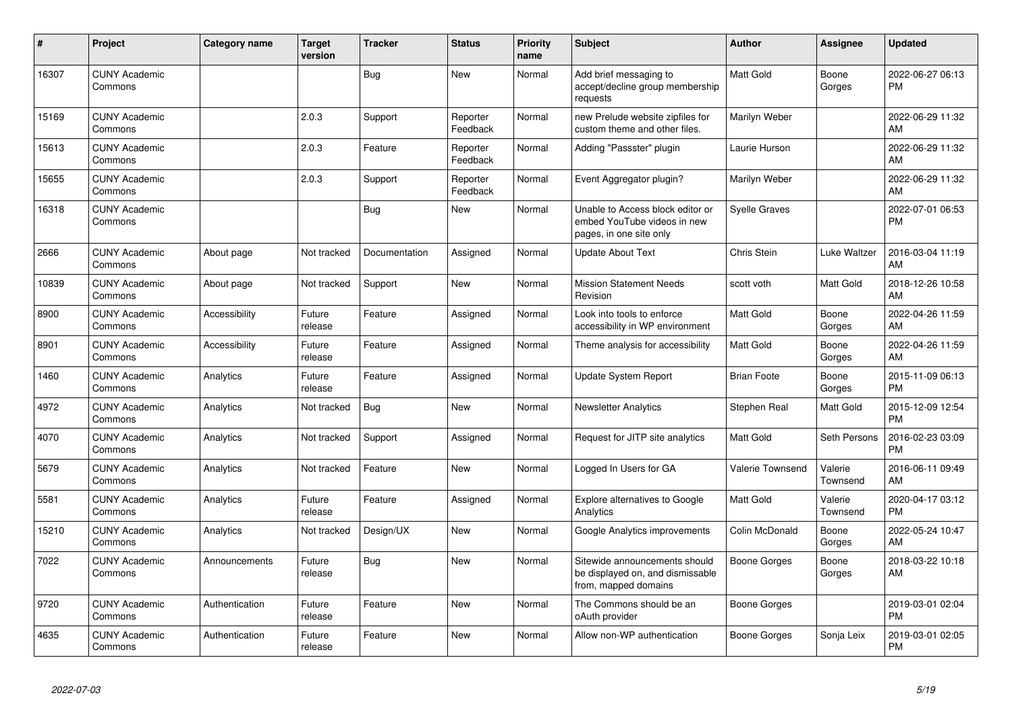| #     | Project                         | Category name        | <b>Target</b><br>version | <b>Tracker</b> | <b>Status</b>        | <b>Priority</b><br>name | <b>Subject</b>                                                                             | Author               | <b>Assignee</b>     | <b>Updated</b>                |
|-------|---------------------------------|----------------------|--------------------------|----------------|----------------------|-------------------------|--------------------------------------------------------------------------------------------|----------------------|---------------------|-------------------------------|
| 16307 | <b>CUNY Academic</b><br>Commons |                      |                          | <b>Bug</b>     | <b>New</b>           | Normal                  | Add brief messaging to<br>accept/decline group membership<br>requests                      | <b>Matt Gold</b>     | Boone<br>Gorges     | 2022-06-27 06:13<br><b>PM</b> |
| 15169 | <b>CUNY Academic</b><br>Commons |                      | 2.0.3                    | Support        | Reporter<br>Feedback | Normal                  | new Prelude website zipfiles for<br>custom theme and other files.                          | Marilyn Weber        |                     | 2022-06-29 11:32<br>AM        |
| 15613 | <b>CUNY Academic</b><br>Commons |                      | 2.0.3                    | Feature        | Reporter<br>Feedback | Normal                  | Adding "Passster" plugin                                                                   | Laurie Hurson        |                     | 2022-06-29 11:32<br>AM        |
| 15655 | <b>CUNY Academic</b><br>Commons |                      | 2.0.3                    | Support        | Reporter<br>Feedback | Normal                  | Event Aggregator plugin?                                                                   | Marilyn Weber        |                     | 2022-06-29 11:32<br>AM        |
| 16318 | <b>CUNY Academic</b><br>Commons |                      |                          | Bug            | <b>New</b>           | Normal                  | Unable to Access block editor or<br>embed YouTube videos in new<br>pages, in one site only | <b>Syelle Graves</b> |                     | 2022-07-01 06:53<br><b>PM</b> |
| 2666  | <b>CUNY Academic</b><br>Commons | About page           | Not tracked              | Documentation  | Assigned             | Normal                  | <b>Update About Text</b>                                                                   | Chris Stein          | Luke Waltzer        | 2016-03-04 11:19<br>AM        |
| 10839 | <b>CUNY Academic</b><br>Commons | About page           | Not tracked              | Support        | New                  | Normal                  | <b>Mission Statement Needs</b><br>Revision                                                 | scott voth           | <b>Matt Gold</b>    | 2018-12-26 10:58<br>AM        |
| 8900  | <b>CUNY Academic</b><br>Commons | <b>Accessibility</b> | Future<br>release        | Feature        | Assigned             | Normal                  | Look into tools to enforce<br>accessibility in WP environment                              | Matt Gold            | Boone<br>Gorges     | 2022-04-26 11:59<br>AM        |
| 8901  | <b>CUNY Academic</b><br>Commons | Accessibility        | Future<br>release        | Feature        | Assigned             | Normal                  | Theme analysis for accessibility                                                           | Matt Gold            | Boone<br>Gorges     | 2022-04-26 11:59<br>AM        |
| 1460  | <b>CUNY Academic</b><br>Commons | Analytics            | Future<br>release        | Feature        | Assigned             | Normal                  | <b>Update System Report</b>                                                                | <b>Brian Foote</b>   | Boone<br>Gorges     | 2015-11-09 06:13<br><b>PM</b> |
| 4972  | <b>CUNY Academic</b><br>Commons | Analytics            | Not tracked              | Bug            | <b>New</b>           | Normal                  | <b>Newsletter Analytics</b>                                                                | Stephen Real         | <b>Matt Gold</b>    | 2015-12-09 12:54<br><b>PM</b> |
| 4070  | <b>CUNY Academic</b><br>Commons | Analytics            | Not tracked              | Support        | Assigned             | Normal                  | Request for JITP site analytics                                                            | <b>Matt Gold</b>     | Seth Persons        | 2016-02-23 03:09<br>PM        |
| 5679  | <b>CUNY Academic</b><br>Commons | Analytics            | Not tracked              | Feature        | <b>New</b>           | Normal                  | Logged In Users for GA                                                                     | Valerie Townsend     | Valerie<br>Townsend | 2016-06-11 09:49<br>AM        |
| 5581  | <b>CUNY Academic</b><br>Commons | Analytics            | Future<br>release        | Feature        | Assigned             | Normal                  | <b>Explore alternatives to Google</b><br>Analytics                                         | Matt Gold            | Valerie<br>Townsend | 2020-04-17 03:12<br><b>PM</b> |
| 15210 | <b>CUNY Academic</b><br>Commons | Analytics            | Not tracked              | Design/UX      | New                  | Normal                  | Google Analytics improvements                                                              | Colin McDonald       | Boone<br>Gorges     | 2022-05-24 10:47<br>AM        |
| 7022  | <b>CUNY Academic</b><br>Commons | Announcements        | Future<br>release        | Bug            | <b>New</b>           | Normal                  | Sitewide announcements should<br>be displayed on, and dismissable<br>from, mapped domains  | Boone Gorges         | Boone<br>Gorges     | 2018-03-22 10:18<br>AM        |
| 9720  | <b>CUNY Academic</b><br>Commons | Authentication       | Future<br>release        | Feature        | <b>New</b>           | Normal                  | The Commons should be an<br>oAuth provider                                                 | Boone Gorges         |                     | 2019-03-01 02:04<br><b>PM</b> |
| 4635  | <b>CUNY Academic</b><br>Commons | Authentication       | Future<br>release        | Feature        | <b>New</b>           | Normal                  | Allow non-WP authentication                                                                | Boone Gorges         | Sonja Leix          | 2019-03-01 02:05<br><b>PM</b> |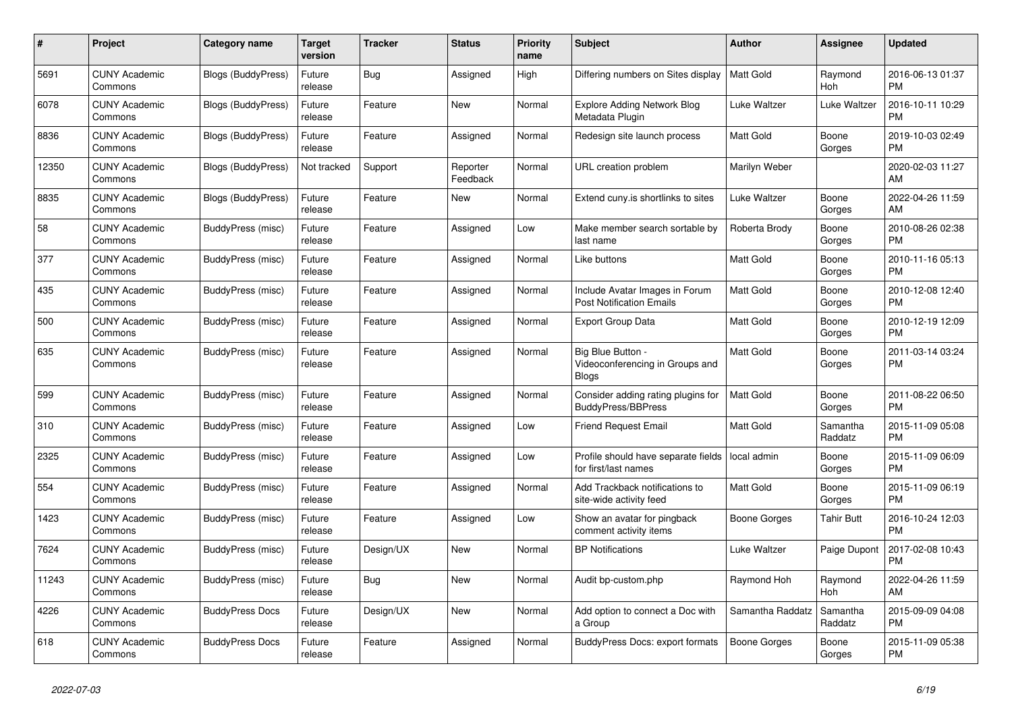| $\#$  | Project                         | <b>Category name</b>      | <b>Target</b><br>version | <b>Tracker</b> | <b>Status</b>        | <b>Priority</b><br>name | <b>Subject</b>                                                       | <b>Author</b>       | Assignee            | <b>Updated</b>                |
|-------|---------------------------------|---------------------------|--------------------------|----------------|----------------------|-------------------------|----------------------------------------------------------------------|---------------------|---------------------|-------------------------------|
| 5691  | <b>CUNY Academic</b><br>Commons | Blogs (BuddyPress)        | Future<br>release        | <b>Bug</b>     | Assigned             | High                    | Differing numbers on Sites display                                   | <b>Matt Gold</b>    | Raymond<br>Hoh      | 2016-06-13 01:37<br><b>PM</b> |
| 6078  | <b>CUNY Academic</b><br>Commons | <b>Blogs (BuddyPress)</b> | Future<br>release        | Feature        | New                  | Normal                  | <b>Explore Adding Network Blog</b><br>Metadata Plugin                | Luke Waltzer        | Luke Waltzer        | 2016-10-11 10:29<br><b>PM</b> |
| 8836  | <b>CUNY Academic</b><br>Commons | Blogs (BuddyPress)        | Future<br>release        | Feature        | Assigned             | Normal                  | Redesign site launch process                                         | Matt Gold           | Boone<br>Gorges     | 2019-10-03 02:49<br><b>PM</b> |
| 12350 | <b>CUNY Academic</b><br>Commons | <b>Blogs (BuddyPress)</b> | Not tracked              | Support        | Reporter<br>Feedback | Normal                  | URL creation problem                                                 | Marilyn Weber       |                     | 2020-02-03 11:27<br>AM        |
| 8835  | <b>CUNY Academic</b><br>Commons | <b>Blogs (BuddyPress)</b> | Future<br>release        | Feature        | New                  | Normal                  | Extend cuny is shortlinks to sites                                   | Luke Waltzer        | Boone<br>Gorges     | 2022-04-26 11:59<br>AM        |
| 58    | <b>CUNY Academic</b><br>Commons | BuddyPress (misc)         | Future<br>release        | Feature        | Assigned             | Low                     | Make member search sortable by<br>last name                          | Roberta Brody       | Boone<br>Gorges     | 2010-08-26 02:38<br><b>PM</b> |
| 377   | <b>CUNY Academic</b><br>Commons | BuddyPress (misc)         | Future<br>release        | Feature        | Assigned             | Normal                  | Like buttons                                                         | <b>Matt Gold</b>    | Boone<br>Gorges     | 2010-11-16 05:13<br><b>PM</b> |
| 435   | <b>CUNY Academic</b><br>Commons | BuddyPress (misc)         | Future<br>release        | Feature        | Assigned             | Normal                  | Include Avatar Images in Forum<br><b>Post Notification Emails</b>    | <b>Matt Gold</b>    | Boone<br>Gorges     | 2010-12-08 12:40<br><b>PM</b> |
| 500   | <b>CUNY Academic</b><br>Commons | BuddyPress (misc)         | Future<br>release        | Feature        | Assigned             | Normal                  | <b>Export Group Data</b>                                             | Matt Gold           | Boone<br>Gorges     | 2010-12-19 12:09<br><b>PM</b> |
| 635   | <b>CUNY Academic</b><br>Commons | BuddyPress (misc)         | Future<br>release        | Feature        | Assigned             | Normal                  | Big Blue Button -<br>Videoconferencing in Groups and<br><b>Blogs</b> | Matt Gold           | Boone<br>Gorges     | 2011-03-14 03:24<br><b>PM</b> |
| 599   | <b>CUNY Academic</b><br>Commons | BuddyPress (misc)         | Future<br>release        | Feature        | Assigned             | Normal                  | Consider adding rating plugins for<br><b>BuddyPress/BBPress</b>      | Matt Gold           | Boone<br>Gorges     | 2011-08-22 06:50<br><b>PM</b> |
| 310   | <b>CUNY Academic</b><br>Commons | BuddyPress (misc)         | Future<br>release        | Feature        | Assigned             | Low                     | <b>Friend Request Email</b>                                          | <b>Matt Gold</b>    | Samantha<br>Raddatz | 2015-11-09 05:08<br><b>PM</b> |
| 2325  | <b>CUNY Academic</b><br>Commons | BuddyPress (misc)         | Future<br>release        | Feature        | Assigned             | Low                     | Profile should have separate fields<br>for first/last names          | local admin         | Boone<br>Gorges     | 2015-11-09 06:09<br><b>PM</b> |
| 554   | <b>CUNY Academic</b><br>Commons | BuddyPress (misc)         | Future<br>release        | Feature        | Assigned             | Normal                  | Add Trackback notifications to<br>site-wide activity feed            | Matt Gold           | Boone<br>Gorges     | 2015-11-09 06:19<br><b>PM</b> |
| 1423  | <b>CUNY Academic</b><br>Commons | BuddyPress (misc)         | Future<br>release        | Feature        | Assigned             | Low                     | Show an avatar for pingback<br>comment activity items                | Boone Gorges        | <b>Tahir Butt</b>   | 2016-10-24 12:03<br><b>PM</b> |
| 7624  | <b>CUNY Academic</b><br>Commons | BuddyPress (misc)         | Future<br>release        | Design/UX      | <b>New</b>           | Normal                  | <b>BP</b> Notifications                                              | Luke Waltzer        | Paige Dupont        | 2017-02-08 10:43<br><b>PM</b> |
| 11243 | <b>CUNY Academic</b><br>Commons | <b>BuddyPress (misc)</b>  | Future<br>release        | Bug            | <b>New</b>           | Normal                  | Audit bp-custom.php                                                  | Raymond Hoh         | Raymond<br>Hoh      | 2022-04-26 11:59<br>AM        |
| 4226  | <b>CUNY Academic</b><br>Commons | <b>BuddyPress Docs</b>    | Future<br>release        | Design/UX      | New                  | Normal                  | Add option to connect a Doc with<br>a Group                          | Samantha Raddatz    | Samantha<br>Raddatz | 2015-09-09 04:08<br><b>PM</b> |
| 618   | <b>CUNY Academic</b><br>Commons | <b>BuddyPress Docs</b>    | Future<br>release        | Feature        | Assigned             | Normal                  | <b>BuddyPress Docs: export formats</b>                               | <b>Boone Gorges</b> | Boone<br>Gorges     | 2015-11-09 05:38<br><b>PM</b> |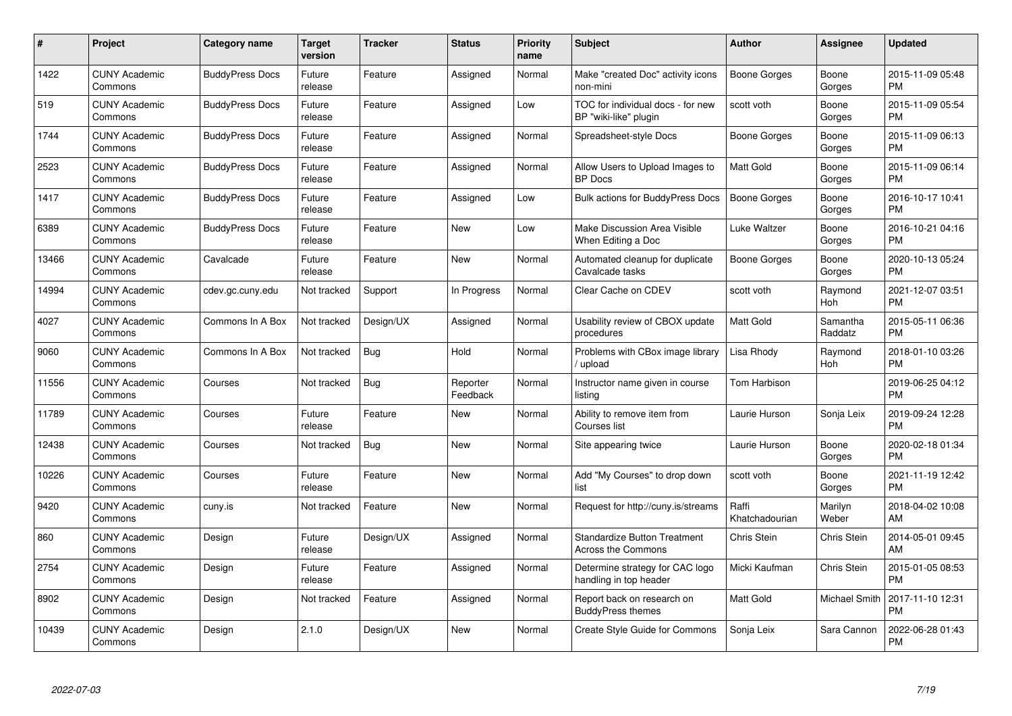| #     | Project                         | <b>Category name</b>   | Target<br>version | <b>Tracker</b> | <b>Status</b>        | Priority<br>name | <b>Subject</b>                                                   | <b>Author</b>           | Assignee            | <b>Updated</b>                |
|-------|---------------------------------|------------------------|-------------------|----------------|----------------------|------------------|------------------------------------------------------------------|-------------------------|---------------------|-------------------------------|
| 1422  | <b>CUNY Academic</b><br>Commons | <b>BuddyPress Docs</b> | Future<br>release | Feature        | Assigned             | Normal           | Make "created Doc" activity icons<br>non-mini                    | Boone Gorges            | Boone<br>Gorges     | 2015-11-09 05:48<br><b>PM</b> |
| 519   | <b>CUNY Academic</b><br>Commons | <b>BuddyPress Docs</b> | Future<br>release | Feature        | Assigned             | Low              | TOC for individual docs - for new<br>BP "wiki-like" plugin       | scott voth              | Boone<br>Gorges     | 2015-11-09 05:54<br><b>PM</b> |
| 1744  | <b>CUNY Academic</b><br>Commons | <b>BuddyPress Docs</b> | Future<br>release | Feature        | Assigned             | Normal           | Spreadsheet-style Docs                                           | Boone Gorges            | Boone<br>Gorges     | 2015-11-09 06:13<br><b>PM</b> |
| 2523  | <b>CUNY Academic</b><br>Commons | <b>BuddyPress Docs</b> | Future<br>release | Feature        | Assigned             | Normal           | Allow Users to Upload Images to<br><b>BP</b> Docs                | Matt Gold               | Boone<br>Gorges     | 2015-11-09 06:14<br><b>PM</b> |
| 1417  | <b>CUNY Academic</b><br>Commons | <b>BuddyPress Docs</b> | Future<br>release | Feature        | Assigned             | Low              | Bulk actions for BuddyPress Docs                                 | <b>Boone Gorges</b>     | Boone<br>Gorges     | 2016-10-17 10:41<br><b>PM</b> |
| 6389  | <b>CUNY Academic</b><br>Commons | <b>BuddyPress Docs</b> | Future<br>release | Feature        | <b>New</b>           | Low              | Make Discussion Area Visible<br>When Editing a Doc               | Luke Waltzer            | Boone<br>Gorges     | 2016-10-21 04:16<br><b>PM</b> |
| 13466 | <b>CUNY Academic</b><br>Commons | Cavalcade              | Future<br>release | Feature        | <b>New</b>           | Normal           | Automated cleanup for duplicate<br>Cavalcade tasks               | Boone Gorges            | Boone<br>Gorges     | 2020-10-13 05:24<br><b>PM</b> |
| 14994 | <b>CUNY Academic</b><br>Commons | cdev.gc.cuny.edu       | Not tracked       | Support        | In Progress          | Normal           | Clear Cache on CDEV                                              | scott voth              | Raymond<br>Hoh      | 2021-12-07 03:51<br><b>PM</b> |
| 4027  | <b>CUNY Academic</b><br>Commons | Commons In A Box       | Not tracked       | Design/UX      | Assigned             | Normal           | Usability review of CBOX update<br>procedures                    | Matt Gold               | Samantha<br>Raddatz | 2015-05-11 06:36<br><b>PM</b> |
| 9060  | <b>CUNY Academic</b><br>Commons | Commons In A Box       | Not tracked       | <b>Bug</b>     | Hold                 | Normal           | Problems with CBox image library<br>/ upload                     | Lisa Rhody              | Raymond<br>Hoh      | 2018-01-10 03:26<br><b>PM</b> |
| 11556 | <b>CUNY Academic</b><br>Commons | Courses                | Not tracked       | Bug            | Reporter<br>Feedback | Normal           | Instructor name given in course<br>listing                       | Tom Harbison            |                     | 2019-06-25 04:12<br><b>PM</b> |
| 11789 | <b>CUNY Academic</b><br>Commons | Courses                | Future<br>release | Feature        | New                  | Normal           | Ability to remove item from<br>Courses list                      | Laurie Hurson           | Sonja Leix          | 2019-09-24 12:28<br><b>PM</b> |
| 12438 | <b>CUNY Academic</b><br>Commons | Courses                | Not tracked       | Bug            | New                  | Normal           | Site appearing twice                                             | Laurie Hurson           | Boone<br>Gorges     | 2020-02-18 01:34<br><b>PM</b> |
| 10226 | <b>CUNY Academic</b><br>Commons | Courses                | Future<br>release | Feature        | <b>New</b>           | Normal           | Add "My Courses" to drop down<br>list                            | scott voth              | Boone<br>Gorges     | 2021-11-19 12:42<br>PM        |
| 9420  | <b>CUNY Academic</b><br>Commons | cuny.is                | Not tracked       | Feature        | New                  | Normal           | Request for http://cuny.is/streams                               | Raffi<br>Khatchadourian | Marilyn<br>Weber    | 2018-04-02 10:08<br>AM        |
| 860   | <b>CUNY Academic</b><br>Commons | Design                 | Future<br>release | Design/UX      | Assigned             | Normal           | <b>Standardize Button Treatment</b><br><b>Across the Commons</b> | Chris Stein             | Chris Stein         | 2014-05-01 09:45<br>AM        |
| 2754  | <b>CUNY Academic</b><br>Commons | Design                 | Future<br>release | Feature        | Assigned             | Normal           | Determine strategy for CAC logo<br>handling in top header        | Micki Kaufman           | Chris Stein         | 2015-01-05 08:53<br><b>PM</b> |
| 8902  | <b>CUNY Academic</b><br>Commons | Design                 | Not tracked       | Feature        | Assigned             | Normal           | Report back on research on<br><b>BuddyPress themes</b>           | <b>Matt Gold</b>        | Michael Smith       | 2017-11-10 12:31<br><b>PM</b> |
| 10439 | <b>CUNY Academic</b><br>Commons | Design                 | 2.1.0             | Design/UX      | <b>New</b>           | Normal           | Create Style Guide for Commons                                   | Sonja Leix              | Sara Cannon         | 2022-06-28 01:43<br>PM        |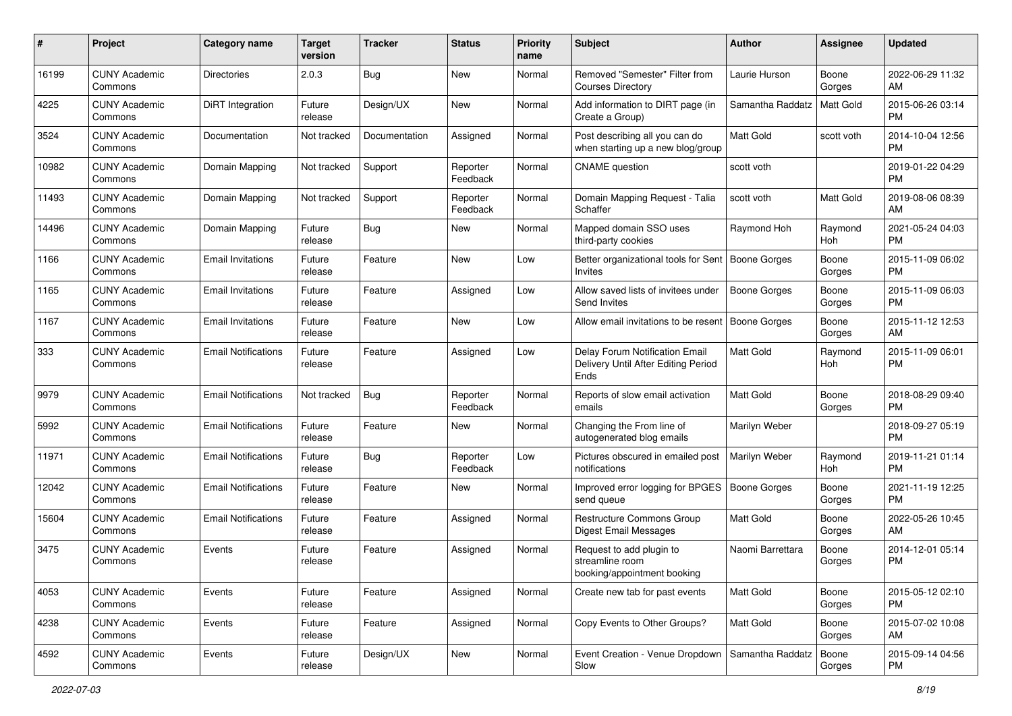| #     | Project                         | <b>Category name</b>       | <b>Target</b><br>version | <b>Tracker</b> | <b>Status</b>        | <b>Priority</b><br>name | <b>Subject</b>                                                                | Author              | Assignee         | <b>Updated</b>                |
|-------|---------------------------------|----------------------------|--------------------------|----------------|----------------------|-------------------------|-------------------------------------------------------------------------------|---------------------|------------------|-------------------------------|
| 16199 | <b>CUNY Academic</b><br>Commons | <b>Directories</b>         | 2.0.3                    | Bug            | New                  | Normal                  | Removed "Semester" Filter from<br><b>Courses Directory</b>                    | Laurie Hurson       | Boone<br>Gorges  | 2022-06-29 11:32<br>AM        |
| 4225  | <b>CUNY Academic</b><br>Commons | <b>DiRT</b> Integration    | Future<br>release        | Design/UX      | New                  | Normal                  | Add information to DIRT page (in<br>Create a Group)                           | Samantha Raddatz    | <b>Matt Gold</b> | 2015-06-26 03:14<br><b>PM</b> |
| 3524  | CUNY Academic<br>Commons        | Documentation              | Not tracked              | Documentation  | Assigned             | Normal                  | Post describing all you can do<br>when starting up a new blog/group           | <b>Matt Gold</b>    | scott voth       | 2014-10-04 12:56<br><b>PM</b> |
| 10982 | <b>CUNY Academic</b><br>Commons | Domain Mapping             | Not tracked              | Support        | Reporter<br>Feedback | Normal                  | <b>CNAME</b> question                                                         | scott voth          |                  | 2019-01-22 04:29<br><b>PM</b> |
| 11493 | <b>CUNY Academic</b><br>Commons | Domain Mapping             | Not tracked              | Support        | Reporter<br>Feedback | Normal                  | Domain Mapping Request - Talia<br>Schaffer                                    | scott voth          | <b>Matt Gold</b> | 2019-08-06 08:39<br>AM        |
| 14496 | <b>CUNY Academic</b><br>Commons | Domain Mapping             | Future<br>release        | Bug            | New                  | Normal                  | Mapped domain SSO uses<br>third-party cookies                                 | Raymond Hoh         | Raymond<br>Hoh   | 2021-05-24 04:03<br><b>PM</b> |
| 1166  | <b>CUNY Academic</b><br>Commons | <b>Email Invitations</b>   | Future<br>release        | Feature        | New                  | Low                     | Better organizational tools for Sent<br>Invites                               | Boone Gorges        | Boone<br>Gorges  | 2015-11-09 06:02<br><b>PM</b> |
| 1165  | <b>CUNY Academic</b><br>Commons | <b>Email Invitations</b>   | Future<br>release        | Feature        | Assigned             | Low                     | Allow saved lists of invitees under<br>Send Invites                           | <b>Boone Gorges</b> | Boone<br>Gorges  | 2015-11-09 06:03<br>PM.       |
| 1167  | <b>CUNY Academic</b><br>Commons | <b>Email Invitations</b>   | Future<br>release        | Feature        | New                  | Low                     | Allow email invitations to be resent                                          | Boone Gorges        | Boone<br>Gorges  | 2015-11-12 12:53<br>AM        |
| 333   | CUNY Academic<br>Commons        | <b>Email Notifications</b> | Future<br>release        | Feature        | Assigned             | Low                     | Delay Forum Notification Email<br>Delivery Until After Editing Period<br>Ends | <b>Matt Gold</b>    | Raymond<br>Hoh   | 2015-11-09 06:01<br><b>PM</b> |
| 9979  | <b>CUNY Academic</b><br>Commons | <b>Email Notifications</b> | Not tracked              | Bug            | Reporter<br>Feedback | Normal                  | Reports of slow email activation<br>emails                                    | Matt Gold           | Boone<br>Gorges  | 2018-08-29 09:40<br><b>PM</b> |
| 5992  | <b>CUNY Academic</b><br>Commons | <b>Email Notifications</b> | Future<br>release        | Feature        | New                  | Normal                  | Changing the From line of<br>autogenerated blog emails                        | Marilyn Weber       |                  | 2018-09-27 05:19<br><b>PM</b> |
| 11971 | <b>CUNY Academic</b><br>Commons | <b>Email Notifications</b> | Future<br>release        | Bug            | Reporter<br>Feedback | Low                     | Pictures obscured in emailed post<br>notifications                            | Marilyn Weber       | Raymond<br>Hoh   | 2019-11-21 01:14<br><b>PM</b> |
| 12042 | <b>CUNY Academic</b><br>Commons | <b>Email Notifications</b> | Future<br>release        | Feature        | New                  | Normal                  | Improved error logging for BPGES   Boone Gorges<br>send queue                 |                     | Boone<br>Gorges  | 2021-11-19 12:25<br><b>PM</b> |
| 15604 | <b>CUNY Academic</b><br>Commons | <b>Email Notifications</b> | Future<br>release        | Feature        | Assigned             | Normal                  | <b>Restructure Commons Group</b><br>Digest Email Messages                     | <b>Matt Gold</b>    | Boone<br>Gorges  | 2022-05-26 10:45<br>AM        |
| 3475  | <b>CUNY Academic</b><br>Commons | Events                     | Future<br>release        | Feature        | Assigned             | Normal                  | Request to add plugin to<br>streamline room<br>booking/appointment booking    | Naomi Barrettara    | Boone<br>Gorges  | 2014-12-01 05:14<br><b>PM</b> |
| 4053  | <b>CUNY Academic</b><br>Commons | Events                     | Future<br>release        | Feature        | Assigned             | Normal                  | Create new tab for past events                                                | Matt Gold           | Boone<br>Gorges  | 2015-05-12 02:10<br>PM.       |
| 4238  | <b>CUNY Academic</b><br>Commons | Events                     | Future<br>release        | Feature        | Assigned             | Normal                  | Copy Events to Other Groups?                                                  | <b>Matt Gold</b>    | Boone<br>Gorges  | 2015-07-02 10:08<br>AM        |
| 4592  | <b>CUNY Academic</b><br>Commons | Events                     | Future<br>release        | Design/UX      | New                  | Normal                  | Event Creation - Venue Dropdown<br>Slow                                       | Samantha Raddatz    | Boone<br>Gorges  | 2015-09-14 04:56<br>PM        |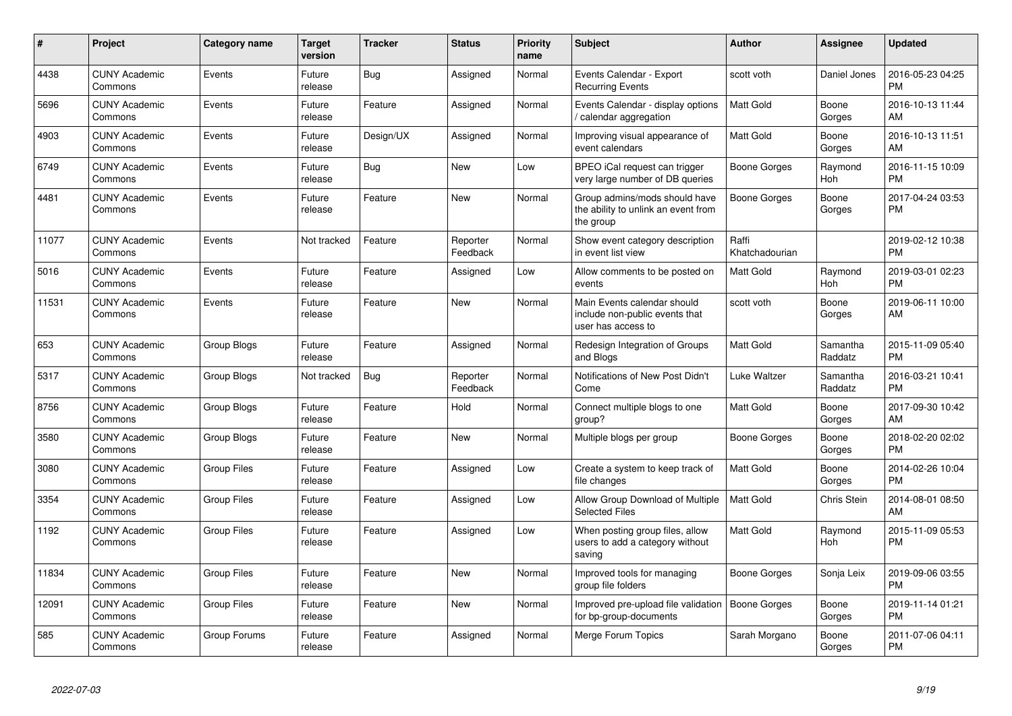| #     | <b>Project</b>                  | Category name      | <b>Target</b><br>version | <b>Tracker</b> | <b>Status</b>        | <b>Priority</b><br>name | <b>Subject</b>                                                                      | Author                  | <b>Assignee</b>     | <b>Updated</b>                |
|-------|---------------------------------|--------------------|--------------------------|----------------|----------------------|-------------------------|-------------------------------------------------------------------------------------|-------------------------|---------------------|-------------------------------|
| 4438  | <b>CUNY Academic</b><br>Commons | Events             | Future<br>release        | Bug            | Assigned             | Normal                  | Events Calendar - Export<br><b>Recurring Events</b>                                 | scott voth              | Daniel Jones        | 2016-05-23 04:25<br><b>PM</b> |
| 5696  | <b>CUNY Academic</b><br>Commons | Events             | Future<br>release        | Feature        | Assigned             | Normal                  | Events Calendar - display options<br>calendar aggregation                           | <b>Matt Gold</b>        | Boone<br>Gorges     | 2016-10-13 11:44<br>AM.       |
| 4903  | <b>CUNY Academic</b><br>Commons | Events             | Future<br>release        | Design/UX      | Assigned             | Normal                  | Improving visual appearance of<br>event calendars                                   | Matt Gold               | Boone<br>Gorges     | 2016-10-13 11:51<br>AM        |
| 6749  | <b>CUNY Academic</b><br>Commons | Events             | Future<br>release        | <b>Bug</b>     | <b>New</b>           | Low                     | BPEO iCal request can trigger<br>very large number of DB queries                    | Boone Gorges            | Raymond<br>Hoh      | 2016-11-15 10:09<br><b>PM</b> |
| 4481  | <b>CUNY Academic</b><br>Commons | Events             | Future<br>release        | Feature        | New                  | Normal                  | Group admins/mods should have<br>the ability to unlink an event from<br>the group   | Boone Gorges            | Boone<br>Gorges     | 2017-04-24 03:53<br><b>PM</b> |
| 11077 | <b>CUNY Academic</b><br>Commons | Events             | Not tracked              | Feature        | Reporter<br>Feedback | Normal                  | Show event category description<br>in event list view                               | Raffi<br>Khatchadourian |                     | 2019-02-12 10:38<br><b>PM</b> |
| 5016  | <b>CUNY Academic</b><br>Commons | Events             | Future<br>release        | Feature        | Assigned             | Low                     | Allow comments to be posted on<br>events                                            | <b>Matt Gold</b>        | Raymond<br>Hoh      | 2019-03-01 02:23<br><b>PM</b> |
| 11531 | <b>CUNY Academic</b><br>Commons | Events             | Future<br>release        | Feature        | <b>New</b>           | Normal                  | Main Events calendar should<br>include non-public events that<br>user has access to | scott voth              | Boone<br>Gorges     | 2019-06-11 10:00<br>AM        |
| 653   | <b>CUNY Academic</b><br>Commons | Group Blogs        | Future<br>release        | Feature        | Assigned             | Normal                  | Redesign Integration of Groups<br>and Blogs                                         | <b>Matt Gold</b>        | Samantha<br>Raddatz | 2015-11-09 05:40<br><b>PM</b> |
| 5317  | <b>CUNY Academic</b><br>Commons | Group Blogs        | Not tracked              | Bug            | Reporter<br>Feedback | Normal                  | Notifications of New Post Didn't<br>Come                                            | Luke Waltzer            | Samantha<br>Raddatz | 2016-03-21 10:41<br><b>PM</b> |
| 8756  | <b>CUNY Academic</b><br>Commons | Group Blogs        | Future<br>release        | Feature        | Hold                 | Normal                  | Connect multiple blogs to one<br>group?                                             | <b>Matt Gold</b>        | Boone<br>Gorges     | 2017-09-30 10:42<br>AM        |
| 3580  | <b>CUNY Academic</b><br>Commons | Group Blogs        | Future<br>release        | Feature        | <b>New</b>           | Normal                  | Multiple blogs per group                                                            | Boone Gorges            | Boone<br>Gorges     | 2018-02-20 02:02<br><b>PM</b> |
| 3080  | <b>CUNY Academic</b><br>Commons | <b>Group Files</b> | Future<br>release        | Feature        | Assigned             | Low                     | Create a system to keep track of<br>file changes                                    | Matt Gold               | Boone<br>Gorges     | 2014-02-26 10:04<br><b>PM</b> |
| 3354  | <b>CUNY Academic</b><br>Commons | <b>Group Files</b> | Future<br>release        | Feature        | Assigned             | Low                     | Allow Group Download of Multiple<br>Selected Files                                  | <b>Matt Gold</b>        | Chris Stein         | 2014-08-01 08:50<br>AM        |
| 1192  | <b>CUNY Academic</b><br>Commons | <b>Group Files</b> | Future<br>release        | Feature        | Assigned             | Low                     | When posting group files, allow<br>users to add a category without<br>saving        | <b>Matt Gold</b>        | Raymond<br>Hoh      | 2015-11-09 05:53<br><b>PM</b> |
| 11834 | <b>CUNY Academic</b><br>Commons | <b>Group Files</b> | Future<br>release        | Feature        | <b>New</b>           | Normal                  | Improved tools for managing<br>group file folders                                   | <b>Boone Gorges</b>     | Sonja Leix          | 2019-09-06 03:55<br><b>PM</b> |
| 12091 | <b>CUNY Academic</b><br>Commons | <b>Group Files</b> | Future<br>release        | Feature        | <b>New</b>           | Normal                  | Improved pre-upload file validation<br>for bp-group-documents                       | Boone Gorges            | Boone<br>Gorges     | 2019-11-14 01:21<br><b>PM</b> |
| 585   | <b>CUNY Academic</b><br>Commons | Group Forums       | Future<br>release        | Feature        | Assigned             | Normal                  | Merge Forum Topics                                                                  | Sarah Morgano           | Boone<br>Gorges     | 2011-07-06 04:11<br>PM        |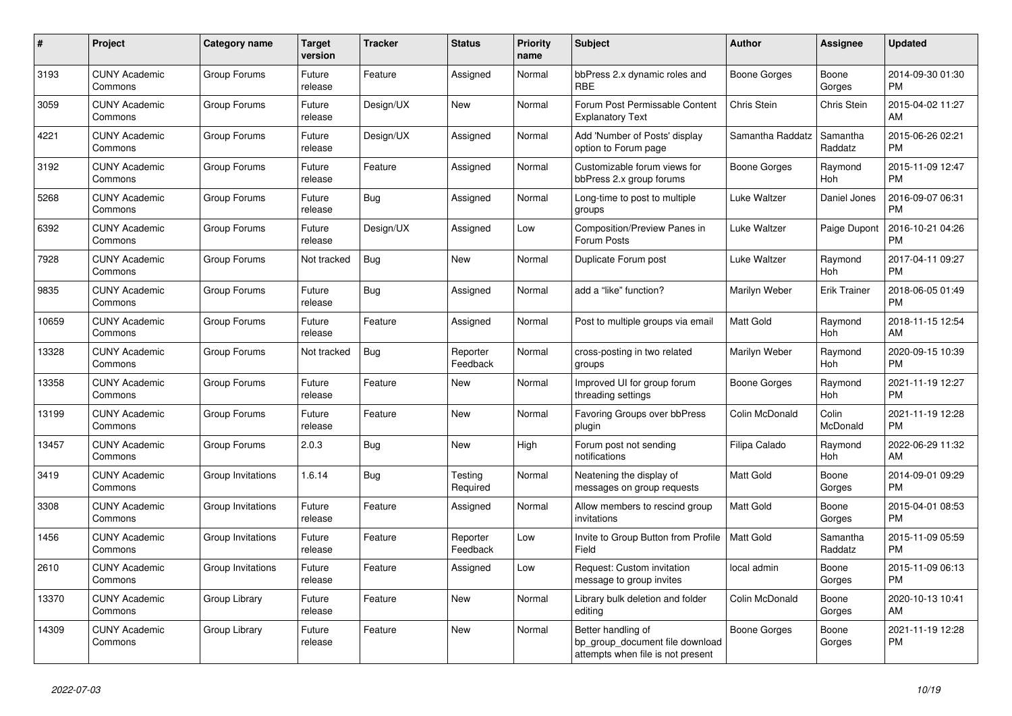| #     | Project                         | <b>Category name</b> | <b>Target</b><br>version | <b>Tracker</b> | <b>Status</b>        | Priority<br>name | <b>Subject</b>                                                                             | <b>Author</b>       | Assignee            | <b>Updated</b>                |
|-------|---------------------------------|----------------------|--------------------------|----------------|----------------------|------------------|--------------------------------------------------------------------------------------------|---------------------|---------------------|-------------------------------|
| 3193  | <b>CUNY Academic</b><br>Commons | Group Forums         | Future<br>release        | Feature        | Assigned             | Normal           | bbPress 2.x dynamic roles and<br><b>RBE</b>                                                | Boone Gorges        | Boone<br>Gorges     | 2014-09-30 01:30<br><b>PM</b> |
| 3059  | <b>CUNY Academic</b><br>Commons | Group Forums         | Future<br>release        | Design/UX      | New                  | Normal           | Forum Post Permissable Content<br><b>Explanatory Text</b>                                  | Chris Stein         | Chris Stein         | 2015-04-02 11:27<br>AM        |
| 4221  | <b>CUNY Academic</b><br>Commons | Group Forums         | Future<br>release        | Design/UX      | Assigned             | Normal           | Add 'Number of Posts' display<br>option to Forum page                                      | Samantha Raddatz    | Samantha<br>Raddatz | 2015-06-26 02:21<br><b>PM</b> |
| 3192  | <b>CUNY Academic</b><br>Commons | Group Forums         | Future<br>release        | Feature        | Assigned             | Normal           | Customizable forum views for<br>bbPress 2.x group forums                                   | Boone Gorges        | Raymond<br>Hoh      | 2015-11-09 12:47<br><b>PM</b> |
| 5268  | <b>CUNY Academic</b><br>Commons | Group Forums         | Future<br>release        | Bug            | Assigned             | Normal           | Long-time to post to multiple<br>groups                                                    | Luke Waltzer        | Daniel Jones        | 2016-09-07 06:31<br><b>PM</b> |
| 6392  | <b>CUNY Academic</b><br>Commons | Group Forums         | Future<br>release        | Design/UX      | Assigned             | Low              | Composition/Preview Panes in<br>Forum Posts                                                | Luke Waltzer        | Paige Dupont        | 2016-10-21 04:26<br><b>PM</b> |
| 7928  | <b>CUNY Academic</b><br>Commons | Group Forums         | Not tracked              | Bug            | <b>New</b>           | Normal           | Duplicate Forum post                                                                       | Luke Waltzer        | Raymond<br>Hoh      | 2017-04-11 09:27<br><b>PM</b> |
| 9835  | <b>CUNY Academic</b><br>Commons | Group Forums         | Future<br>release        | <b>Bug</b>     | Assigned             | Normal           | add a "like" function?                                                                     | Marilyn Weber       | <b>Erik Trainer</b> | 2018-06-05 01:49<br><b>PM</b> |
| 10659 | <b>CUNY Academic</b><br>Commons | Group Forums         | Future<br>release        | Feature        | Assigned             | Normal           | Post to multiple groups via email                                                          | <b>Matt Gold</b>    | Raymond<br>Hoh      | 2018-11-15 12:54<br>AM        |
| 13328 | <b>CUNY Academic</b><br>Commons | Group Forums         | Not tracked              | Bug            | Reporter<br>Feedback | Normal           | cross-posting in two related<br>groups                                                     | Marilyn Weber       | Raymond<br>Hoh      | 2020-09-15 10:39<br><b>PM</b> |
| 13358 | <b>CUNY Academic</b><br>Commons | Group Forums         | Future<br>release        | Feature        | <b>New</b>           | Normal           | Improved UI for group forum<br>threading settings                                          | Boone Gorges        | Raymond<br>Hoh      | 2021-11-19 12:27<br><b>PM</b> |
| 13199 | <b>CUNY Academic</b><br>Commons | Group Forums         | Future<br>release        | Feature        | New                  | Normal           | Favoring Groups over bbPress<br>plugin                                                     | Colin McDonald      | Colin<br>McDonald   | 2021-11-19 12:28<br><b>PM</b> |
| 13457 | <b>CUNY Academic</b><br>Commons | Group Forums         | 2.0.3                    | Bug            | New                  | High             | Forum post not sending<br>notifications                                                    | Filipa Calado       | Raymond<br>Hoh      | 2022-06-29 11:32<br>AM        |
| 3419  | <b>CUNY Academic</b><br>Commons | Group Invitations    | 1.6.14                   | <b>Bug</b>     | Testing<br>Required  | Normal           | Neatening the display of<br>messages on group requests                                     | <b>Matt Gold</b>    | Boone<br>Gorges     | 2014-09-01 09:29<br><b>PM</b> |
| 3308  | <b>CUNY Academic</b><br>Commons | Group Invitations    | Future<br>release        | Feature        | Assigned             | Normal           | Allow members to rescind group<br>invitations                                              | Matt Gold           | Boone<br>Gorges     | 2015-04-01 08:53<br><b>PM</b> |
| 1456  | <b>CUNY Academic</b><br>Commons | Group Invitations    | Future<br>release        | Feature        | Reporter<br>Feedback | Low              | Invite to Group Button from Profile<br>Field                                               | <b>Matt Gold</b>    | Samantha<br>Raddatz | 2015-11-09 05:59<br><b>PM</b> |
| 2610  | <b>CUNY Academic</b><br>Commons | Group Invitations    | Future<br>release        | Feature        | Assigned             | Low              | Request: Custom invitation<br>message to group invites                                     | local admin         | Boone<br>Gorges     | 2015-11-09 06:13<br><b>PM</b> |
| 13370 | <b>CUNY Academic</b><br>Commons | Group Library        | Future<br>release        | Feature        | <b>New</b>           | Normal           | Library bulk deletion and folder<br>editing                                                | Colin McDonald      | Boone<br>Gorges     | 2020-10-13 10:41<br>AM        |
| 14309 | <b>CUNY Academic</b><br>Commons | Group Library        | Future<br>release        | Feature        | New                  | Normal           | Better handling of<br>bp_group_document file download<br>attempts when file is not present | <b>Boone Gorges</b> | Boone<br>Gorges     | 2021-11-19 12:28<br><b>PM</b> |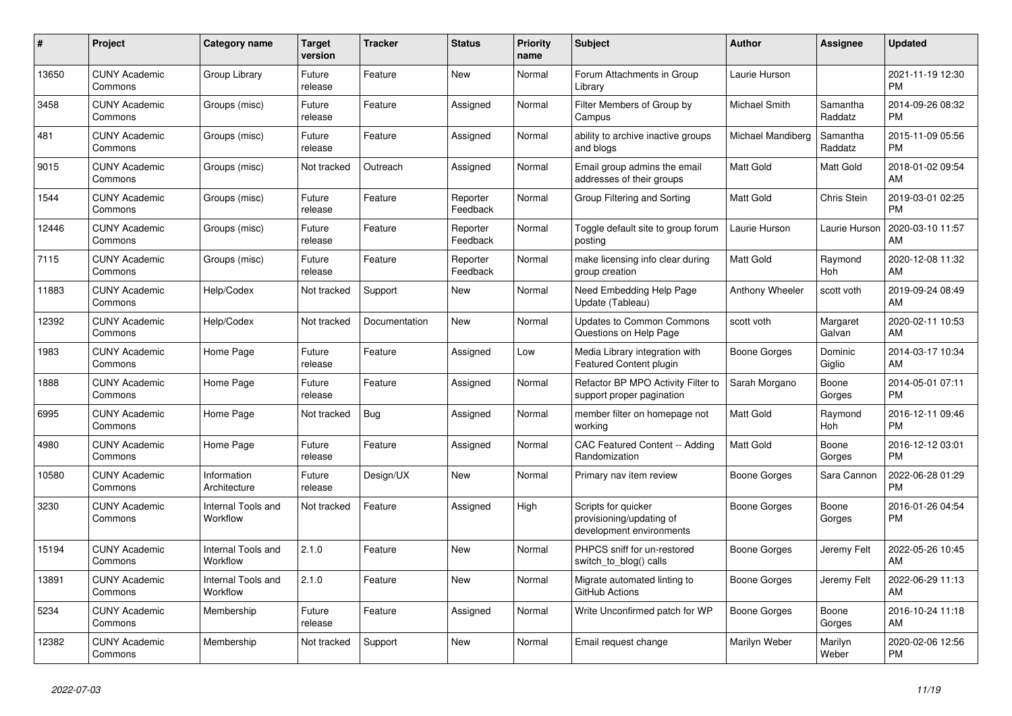| #     | Project                         | <b>Category name</b>           | <b>Target</b><br>version | <b>Tracker</b> | <b>Status</b>        | <b>Priority</b><br>name | <b>Subject</b>                                                              | <b>Author</b>       | Assignee            | <b>Updated</b>                |
|-------|---------------------------------|--------------------------------|--------------------------|----------------|----------------------|-------------------------|-----------------------------------------------------------------------------|---------------------|---------------------|-------------------------------|
| 13650 | <b>CUNY Academic</b><br>Commons | Group Library                  | Future<br>release        | Feature        | <b>New</b>           | Normal                  | Forum Attachments in Group<br>Library                                       | Laurie Hurson       |                     | 2021-11-19 12:30<br><b>PM</b> |
| 3458  | <b>CUNY Academic</b><br>Commons | Groups (misc)                  | Future<br>release        | Feature        | Assigned             | Normal                  | Filter Members of Group by<br>Campus                                        | Michael Smith       | Samantha<br>Raddatz | 2014-09-26 08:32<br><b>PM</b> |
| 481   | <b>CUNY Academic</b><br>Commons | Groups (misc)                  | Future<br>release        | Feature        | Assigned             | Normal                  | ability to archive inactive groups<br>and blogs                             | Michael Mandiberg   | Samantha<br>Raddatz | 2015-11-09 05:56<br><b>PM</b> |
| 9015  | <b>CUNY Academic</b><br>Commons | Groups (misc)                  | Not tracked              | Outreach       | Assigned             | Normal                  | Email group admins the email<br>addresses of their groups                   | <b>Matt Gold</b>    | Matt Gold           | 2018-01-02 09:54<br>AM        |
| 1544  | <b>CUNY Academic</b><br>Commons | Groups (misc)                  | Future<br>release        | Feature        | Reporter<br>Feedback | Normal                  | Group Filtering and Sorting                                                 | Matt Gold           | Chris Stein         | 2019-03-01 02:25<br><b>PM</b> |
| 12446 | <b>CUNY Academic</b><br>Commons | Groups (misc)                  | Future<br>release        | Feature        | Reporter<br>Feedback | Normal                  | Toggle default site to group forum<br>posting                               | Laurie Hurson       | Laurie Hurson       | 2020-03-10 11:57<br>AM        |
| 7115  | <b>CUNY Academic</b><br>Commons | Groups (misc)                  | Future<br>release        | Feature        | Reporter<br>Feedback | Normal                  | make licensing info clear during<br>group creation                          | <b>Matt Gold</b>    | Raymond<br>Hoh      | 2020-12-08 11:32<br>AM        |
| 11883 | <b>CUNY Academic</b><br>Commons | Help/Codex                     | Not tracked              | Support        | <b>New</b>           | Normal                  | Need Embedding Help Page<br>Update (Tableau)                                | Anthony Wheeler     | scott voth          | 2019-09-24 08:49<br>AM        |
| 12392 | <b>CUNY Academic</b><br>Commons | Help/Codex                     | Not tracked              | Documentation  | <b>New</b>           | Normal                  | <b>Updates to Common Commons</b><br>Questions on Help Page                  | scott voth          | Margaret<br>Galvan  | 2020-02-11 10:53<br>AM        |
| 1983  | <b>CUNY Academic</b><br>Commons | Home Page                      | Future<br>release        | Feature        | Assigned             | Low                     | Media Library integration with<br><b>Featured Content plugin</b>            | <b>Boone Gorges</b> | Dominic<br>Giglio   | 2014-03-17 10:34<br>AM        |
| 1888  | <b>CUNY Academic</b><br>Commons | Home Page                      | Future<br>release        | Feature        | Assigned             | Normal                  | Refactor BP MPO Activity Filter to<br>support proper pagination             | Sarah Morgano       | Boone<br>Gorges     | 2014-05-01 07:11<br><b>PM</b> |
| 6995  | <b>CUNY Academic</b><br>Commons | Home Page                      | Not tracked              | Bug            | Assigned             | Normal                  | member filter on homepage not<br>workina                                    | Matt Gold           | Raymond<br>Hoh      | 2016-12-11 09:46<br><b>PM</b> |
| 4980  | <b>CUNY Academic</b><br>Commons | Home Page                      | Future<br>release        | Feature        | Assigned             | Normal                  | <b>CAC Featured Content -- Adding</b><br>Randomization                      | Matt Gold           | Boone<br>Gorges     | 2016-12-12 03:01<br><b>PM</b> |
| 10580 | <b>CUNY Academic</b><br>Commons | Information<br>Architecture    | Future<br>release        | Design/UX      | <b>New</b>           | Normal                  | Primary nav item review                                                     | Boone Gorges        | Sara Cannon         | 2022-06-28 01:29<br><b>PM</b> |
| 3230  | <b>CUNY Academic</b><br>Commons | Internal Tools and<br>Workflow | Not tracked              | Feature        | Assigned             | High                    | Scripts for quicker<br>provisioning/updating of<br>development environments | Boone Gorges        | Boone<br>Gorges     | 2016-01-26 04:54<br><b>PM</b> |
| 15194 | <b>CUNY Academic</b><br>Commons | Internal Tools and<br>Workflow | 2.1.0                    | Feature        | <b>New</b>           | Normal                  | PHPCS sniff for un-restored<br>switch to blog() calls                       | Boone Gorges        | Jeremy Felt         | 2022-05-26 10:45<br>AM        |
| 13891 | <b>CUNY Academic</b><br>Commons | Internal Tools and<br>Workflow | 2.1.0                    | Feature        | <b>New</b>           | Normal                  | Migrate automated linting to<br>GitHub Actions                              | Boone Gorges        | Jeremy Felt         | 2022-06-29 11:13<br>AM        |
| 5234  | <b>CUNY Academic</b><br>Commons | Membership                     | Future<br>release        | Feature        | Assigned             | Normal                  | Write Unconfirmed patch for WP                                              | Boone Gorges        | Boone<br>Gorges     | 2016-10-24 11:18<br>AM        |
| 12382 | <b>CUNY Academic</b><br>Commons | Membership                     | Not tracked              | Support        | <b>New</b>           | Normal                  | Email request change                                                        | Marilyn Weber       | Marilyn<br>Weber    | 2020-02-06 12:56<br><b>PM</b> |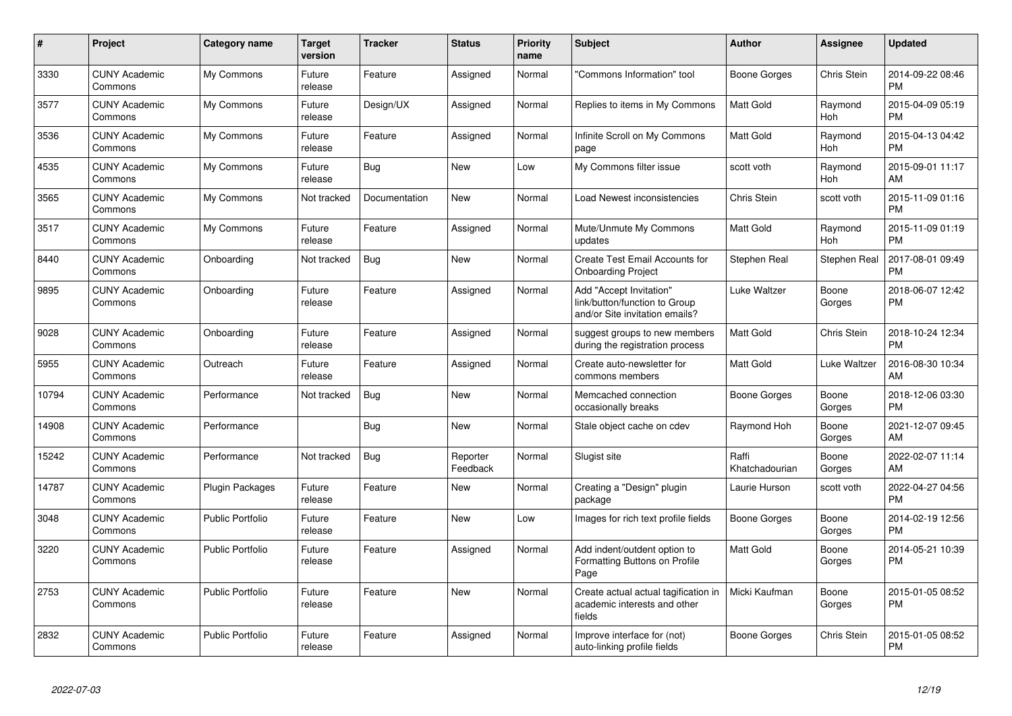| #     | Project                         | <b>Category name</b>    | <b>Target</b><br>version | <b>Tracker</b> | <b>Status</b>        | <b>Priority</b><br>name | <b>Subject</b>                                                                             | <b>Author</b>           | <b>Assignee</b> | <b>Updated</b>                |
|-------|---------------------------------|-------------------------|--------------------------|----------------|----------------------|-------------------------|--------------------------------------------------------------------------------------------|-------------------------|-----------------|-------------------------------|
| 3330  | <b>CUNY Academic</b><br>Commons | My Commons              | Future<br>release        | Feature        | Assigned             | Normal                  | "Commons Information" tool                                                                 | Boone Gorges            | Chris Stein     | 2014-09-22 08:46<br><b>PM</b> |
| 3577  | <b>CUNY Academic</b><br>Commons | My Commons              | Future<br>release        | Design/UX      | Assigned             | Normal                  | Replies to items in My Commons                                                             | <b>Matt Gold</b>        | Raymond<br>Hoh  | 2015-04-09 05:19<br><b>PM</b> |
| 3536  | <b>CUNY Academic</b><br>Commons | My Commons              | Future<br>release        | Feature        | Assigned             | Normal                  | Infinite Scroll on My Commons<br>page                                                      | <b>Matt Gold</b>        | Raymond<br>Hoh  | 2015-04-13 04:42<br><b>PM</b> |
| 4535  | <b>CUNY Academic</b><br>Commons | My Commons              | Future<br>release        | Bug            | New                  | Low                     | My Commons filter issue                                                                    | scott voth              | Raymond<br>Hoh  | 2015-09-01 11:17<br>AM        |
| 3565  | <b>CUNY Academic</b><br>Commons | My Commons              | Not tracked              | Documentation  | <b>New</b>           | Normal                  | Load Newest inconsistencies                                                                | Chris Stein             | scott voth      | 2015-11-09 01:16<br><b>PM</b> |
| 3517  | <b>CUNY Academic</b><br>Commons | My Commons              | Future<br>release        | Feature        | Assigned             | Normal                  | Mute/Unmute My Commons<br>updates                                                          | <b>Matt Gold</b>        | Raymond<br>Hoh  | 2015-11-09 01:19<br><b>PM</b> |
| 8440  | <b>CUNY Academic</b><br>Commons | Onboarding              | Not tracked              | <b>Bug</b>     | New                  | Normal                  | Create Test Email Accounts for<br><b>Onboarding Project</b>                                | Stephen Real            | Stephen Real    | 2017-08-01 09:49<br><b>PM</b> |
| 9895  | <b>CUNY Academic</b><br>Commons | Onboarding              | Future<br>release        | Feature        | Assigned             | Normal                  | Add "Accept Invitation"<br>link/button/function to Group<br>and/or Site invitation emails? | Luke Waltzer            | Boone<br>Gorges | 2018-06-07 12:42<br><b>PM</b> |
| 9028  | <b>CUNY Academic</b><br>Commons | Onboarding              | Future<br>release        | Feature        | Assigned             | Normal                  | suggest groups to new members<br>during the registration process                           | Matt Gold               | Chris Stein     | 2018-10-24 12:34<br><b>PM</b> |
| 5955  | <b>CUNY Academic</b><br>Commons | Outreach                | Future<br>release        | Feature        | Assigned             | Normal                  | Create auto-newsletter for<br>commons members                                              | Matt Gold               | Luke Waltzer    | 2016-08-30 10:34<br>AM        |
| 10794 | <b>CUNY Academic</b><br>Commons | Performance             | Not tracked              | <b>Bug</b>     | New                  | Normal                  | Memcached connection<br>occasionally breaks                                                | <b>Boone Gorges</b>     | Boone<br>Gorges | 2018-12-06 03:30<br><b>PM</b> |
| 14908 | <b>CUNY Academic</b><br>Commons | Performance             |                          | Bug            | <b>New</b>           | Normal                  | Stale object cache on cdev                                                                 | Raymond Hoh             | Boone<br>Gorges | 2021-12-07 09:45<br>AM        |
| 15242 | <b>CUNY Academic</b><br>Commons | Performance             | Not tracked              | Bug            | Reporter<br>Feedback | Normal                  | Slugist site                                                                               | Raffi<br>Khatchadourian | Boone<br>Gorges | 2022-02-07 11:14<br>AM        |
| 14787 | <b>CUNY Academic</b><br>Commons | <b>Plugin Packages</b>  | Future<br>release        | Feature        | New                  | Normal                  | Creating a "Design" plugin<br>package                                                      | Laurie Hurson           | scott voth      | 2022-04-27 04:56<br><b>PM</b> |
| 3048  | <b>CUNY Academic</b><br>Commons | Public Portfolio        | Future<br>release        | Feature        | New                  | Low                     | Images for rich text profile fields                                                        | Boone Gorges            | Boone<br>Gorges | 2014-02-19 12:56<br><b>PM</b> |
| 3220  | <b>CUNY Academic</b><br>Commons | <b>Public Portfolio</b> | Future<br>release        | Feature        | Assigned             | Normal                  | Add indent/outdent option to<br>Formatting Buttons on Profile<br>Page                      | <b>Matt Gold</b>        | Boone<br>Gorges | 2014-05-21 10:39<br><b>PM</b> |
| 2753  | <b>CUNY Academic</b><br>Commons | <b>Public Portfolio</b> | Future<br>release        | Feature        | <b>New</b>           | Normal                  | Create actual actual tagification in<br>academic interests and other<br>fields             | Micki Kaufman           | Boone<br>Gorges | 2015-01-05 08:52<br><b>PM</b> |
| 2832  | <b>CUNY Academic</b><br>Commons | Public Portfolio        | Future<br>release        | Feature        | Assigned             | Normal                  | Improve interface for (not)<br>auto-linking profile fields                                 | Boone Gorges            | Chris Stein     | 2015-01-05 08:52<br><b>PM</b> |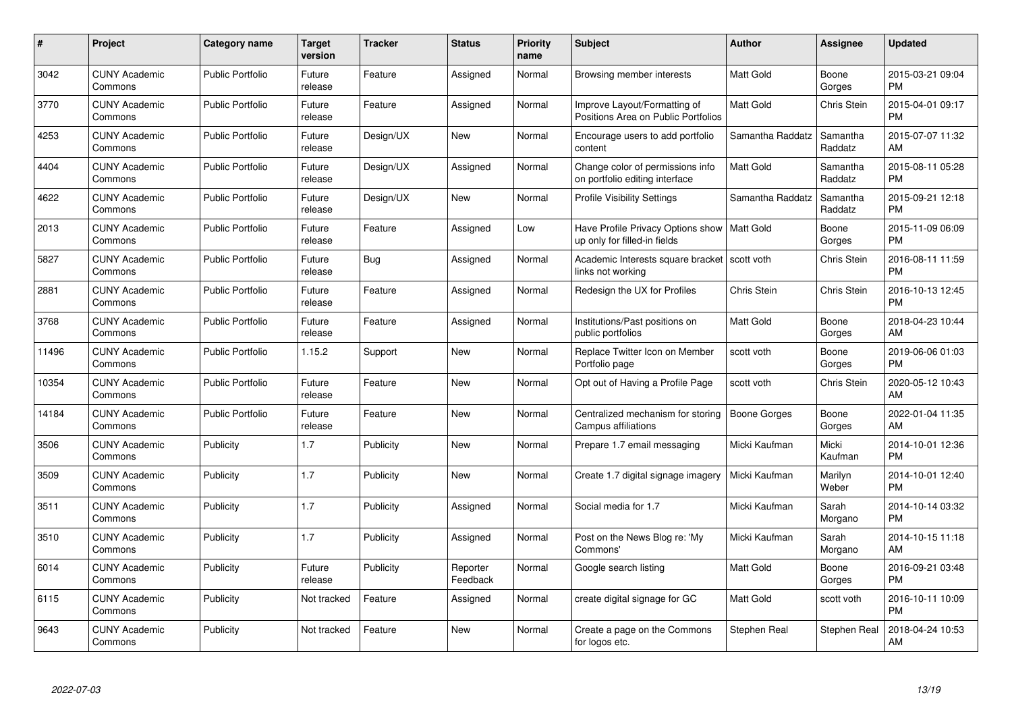| $\pmb{\#}$ | Project                         | <b>Category name</b>    | <b>Target</b><br>version | <b>Tracker</b> | <b>Status</b>        | Priority<br>name | <b>Subject</b>                                                                | <b>Author</b>    | <b>Assignee</b>     | <b>Updated</b>                |
|------------|---------------------------------|-------------------------|--------------------------|----------------|----------------------|------------------|-------------------------------------------------------------------------------|------------------|---------------------|-------------------------------|
| 3042       | <b>CUNY Academic</b><br>Commons | <b>Public Portfolio</b> | Future<br>release        | Feature        | Assigned             | Normal           | Browsing member interests                                                     | <b>Matt Gold</b> | Boone<br>Gorges     | 2015-03-21 09:04<br><b>PM</b> |
| 3770       | <b>CUNY Academic</b><br>Commons | <b>Public Portfolio</b> | Future<br>release        | Feature        | Assigned             | Normal           | Improve Layout/Formatting of<br>Positions Area on Public Portfolios           | <b>Matt Gold</b> | <b>Chris Stein</b>  | 2015-04-01 09:17<br><b>PM</b> |
| 4253       | <b>CUNY Academic</b><br>Commons | <b>Public Portfolio</b> | Future<br>release        | Design/UX      | New                  | Normal           | Encourage users to add portfolio<br>content                                   | Samantha Raddatz | Samantha<br>Raddatz | 2015-07-07 11:32<br>AM        |
| 4404       | <b>CUNY Academic</b><br>Commons | <b>Public Portfolio</b> | Future<br>release        | Design/UX      | Assigned             | Normal           | Change color of permissions info<br>on portfolio editing interface            | Matt Gold        | Samantha<br>Raddatz | 2015-08-11 05:28<br><b>PM</b> |
| 4622       | <b>CUNY Academic</b><br>Commons | <b>Public Portfolio</b> | Future<br>release        | Design/UX      | <b>New</b>           | Normal           | <b>Profile Visibility Settings</b>                                            | Samantha Raddatz | Samantha<br>Raddatz | 2015-09-21 12:18<br><b>PM</b> |
| 2013       | <b>CUNY Academic</b><br>Commons | <b>Public Portfolio</b> | Future<br>release        | Feature        | Assigned             | Low              | Have Profile Privacy Options show   Matt Gold<br>up only for filled-in fields |                  | Boone<br>Gorges     | 2015-11-09 06:09<br><b>PM</b> |
| 5827       | <b>CUNY Academic</b><br>Commons | <b>Public Portfolio</b> | Future<br>release        | Bug            | Assigned             | Normal           | Academic Interests square bracket<br>links not working                        | scott voth       | <b>Chris Stein</b>  | 2016-08-11 11:59<br><b>PM</b> |
| 2881       | <b>CUNY Academic</b><br>Commons | <b>Public Portfolio</b> | Future<br>release        | Feature        | Assigned             | Normal           | Redesign the UX for Profiles                                                  | Chris Stein      | Chris Stein         | 2016-10-13 12:45<br><b>PM</b> |
| 3768       | <b>CUNY Academic</b><br>Commons | <b>Public Portfolio</b> | Future<br>release        | Feature        | Assigned             | Normal           | Institutions/Past positions on<br>public portfolios                           | <b>Matt Gold</b> | Boone<br>Gorges     | 2018-04-23 10:44<br>AM        |
| 11496      | <b>CUNY Academic</b><br>Commons | <b>Public Portfolio</b> | 1.15.2                   | Support        | <b>New</b>           | Normal           | Replace Twitter Icon on Member<br>Portfolio page                              | scott voth       | Boone<br>Gorges     | 2019-06-06 01:03<br><b>PM</b> |
| 10354      | <b>CUNY Academic</b><br>Commons | <b>Public Portfolio</b> | Future<br>release        | Feature        | New                  | Normal           | Opt out of Having a Profile Page                                              | scott voth       | Chris Stein         | 2020-05-12 10:43<br>AM        |
| 14184      | <b>CUNY Academic</b><br>Commons | <b>Public Portfolio</b> | Future<br>release        | Feature        | New                  | Normal           | Centralized mechanism for storing<br>Campus affiliations                      | Boone Gorges     | Boone<br>Gorges     | 2022-01-04 11:35<br>AM        |
| 3506       | <b>CUNY Academic</b><br>Commons | Publicity               | 1.7                      | Publicity      | New                  | Normal           | Prepare 1.7 email messaging                                                   | Micki Kaufman    | Micki<br>Kaufman    | 2014-10-01 12:36<br><b>PM</b> |
| 3509       | <b>CUNY Academic</b><br>Commons | Publicity               | 1.7                      | Publicity      | New                  | Normal           | Create 1.7 digital signage imagery                                            | Micki Kaufman    | Marilyn<br>Weber    | 2014-10-01 12:40<br><b>PM</b> |
| 3511       | <b>CUNY Academic</b><br>Commons | Publicity               | 1.7                      | Publicity      | Assigned             | Normal           | Social media for 1.7                                                          | Micki Kaufman    | Sarah<br>Morgano    | 2014-10-14 03:32<br><b>PM</b> |
| 3510       | <b>CUNY Academic</b><br>Commons | Publicity               | 1.7                      | Publicity      | Assigned             | Normal           | Post on the News Blog re: 'My<br>Commons'                                     | Micki Kaufman    | Sarah<br>Morgano    | 2014-10-15 11:18<br>AM        |
| 6014       | <b>CUNY Academic</b><br>Commons | Publicity               | Future<br>release        | Publicity      | Reporter<br>Feedback | Normal           | Google search listing                                                         | <b>Matt Gold</b> | Boone<br>Gorges     | 2016-09-21 03:48<br><b>PM</b> |
| 6115       | <b>CUNY Academic</b><br>Commons | Publicity               | Not tracked              | Feature        | Assigned             | Normal           | create digital signage for GC                                                 | Matt Gold        | scott voth          | 2016-10-11 10:09<br><b>PM</b> |
| 9643       | <b>CUNY Academic</b><br>Commons | Publicity               | Not tracked              | Feature        | <b>New</b>           | Normal           | Create a page on the Commons<br>for logos etc.                                | Stephen Real     | Stephen Real        | 2018-04-24 10:53<br>AM        |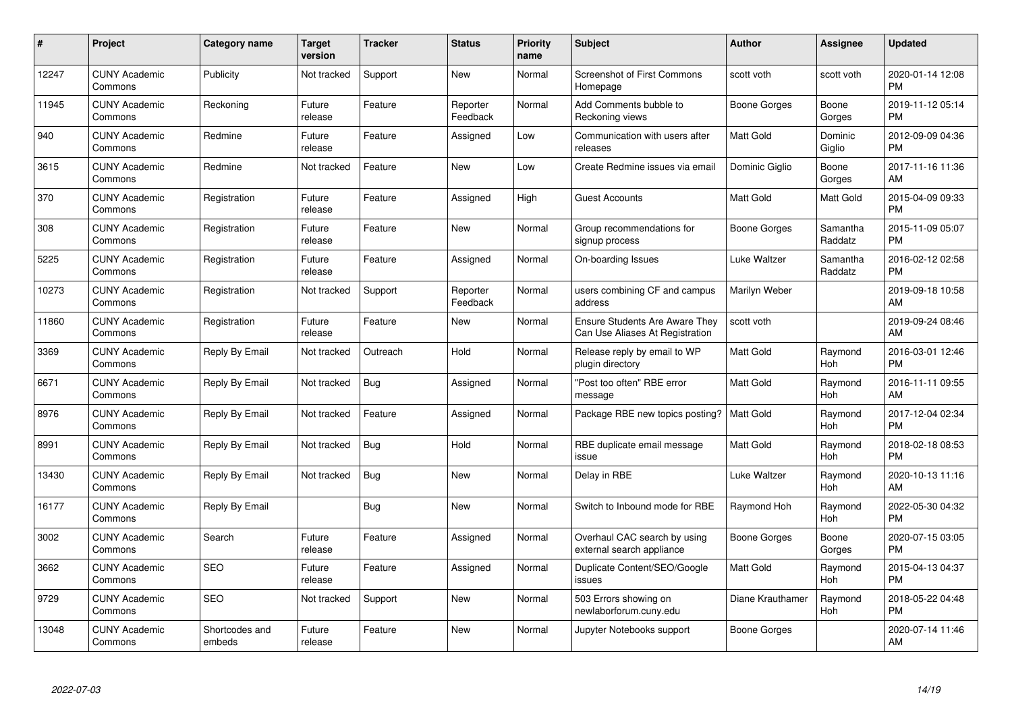| $\#$  | Project                         | <b>Category name</b>     | <b>Target</b><br>version | <b>Tracker</b> | <b>Status</b>        | Priority<br>name | <b>Subject</b>                                                           | <b>Author</b>       | <b>Assignee</b>     | <b>Updated</b>                |
|-------|---------------------------------|--------------------------|--------------------------|----------------|----------------------|------------------|--------------------------------------------------------------------------|---------------------|---------------------|-------------------------------|
| 12247 | <b>CUNY Academic</b><br>Commons | Publicity                | Not tracked              | Support        | <b>New</b>           | Normal           | <b>Screenshot of First Commons</b><br>Homepage                           | scott voth          | scott voth          | 2020-01-14 12:08<br><b>PM</b> |
| 11945 | <b>CUNY Academic</b><br>Commons | Reckoning                | Future<br>release        | Feature        | Reporter<br>Feedback | Normal           | Add Comments bubble to<br>Reckoning views                                | Boone Gorges        | Boone<br>Gorges     | 2019-11-12 05:14<br><b>PM</b> |
| 940   | <b>CUNY Academic</b><br>Commons | Redmine                  | Future<br>release        | Feature        | Assigned             | Low              | Communication with users after<br>releases                               | <b>Matt Gold</b>    | Dominic<br>Giglio   | 2012-09-09 04:36<br><b>PM</b> |
| 3615  | <b>CUNY Academic</b><br>Commons | Redmine                  | Not tracked              | Feature        | <b>New</b>           | Low              | Create Redmine issues via email                                          | Dominic Giglio      | Boone<br>Gorges     | 2017-11-16 11:36<br>AM        |
| 370   | <b>CUNY Academic</b><br>Commons | Registration             | Future<br>release        | Feature        | Assigned             | High             | <b>Guest Accounts</b>                                                    | Matt Gold           | Matt Gold           | 2015-04-09 09:33<br><b>PM</b> |
| 308   | <b>CUNY Academic</b><br>Commons | Registration             | Future<br>release        | Feature        | <b>New</b>           | Normal           | Group recommendations for<br>signup process                              | <b>Boone Gorges</b> | Samantha<br>Raddatz | 2015-11-09 05:07<br><b>PM</b> |
| 5225  | <b>CUNY Academic</b><br>Commons | Registration             | Future<br>release        | Feature        | Assigned             | Normal           | On-boarding Issues                                                       | Luke Waltzer        | Samantha<br>Raddatz | 2016-02-12 02:58<br><b>PM</b> |
| 10273 | <b>CUNY Academic</b><br>Commons | Registration             | Not tracked              | Support        | Reporter<br>Feedback | Normal           | users combining CF and campus<br>address                                 | Marilyn Weber       |                     | 2019-09-18 10:58<br>AM        |
| 11860 | <b>CUNY Academic</b><br>Commons | Registration             | Future<br>release        | Feature        | <b>New</b>           | Normal           | <b>Ensure Students Are Aware They</b><br>Can Use Aliases At Registration | scott voth          |                     | 2019-09-24 08:46<br>AM        |
| 3369  | <b>CUNY Academic</b><br>Commons | Reply By Email           | Not tracked              | Outreach       | Hold                 | Normal           | Release reply by email to WP<br>plugin directory                         | <b>Matt Gold</b>    | Raymond<br>Hoh      | 2016-03-01 12:46<br><b>PM</b> |
| 6671  | <b>CUNY Academic</b><br>Commons | Reply By Email           | Not tracked              | Bug            | Assigned             | Normal           | "Post too often" RBE error<br>message                                    | Matt Gold           | Raymond<br>Hoh      | 2016-11-11 09:55<br>AM        |
| 8976  | <b>CUNY Academic</b><br>Commons | Reply By Email           | Not tracked              | Feature        | Assigned             | Normal           | Package RBE new topics posting?                                          | <b>Matt Gold</b>    | Raymond<br>Hoh      | 2017-12-04 02:34<br><b>PM</b> |
| 8991  | <b>CUNY Academic</b><br>Commons | Reply By Email           | Not tracked              | Bug            | Hold                 | Normal           | RBE duplicate email message<br>issue                                     | Matt Gold           | Raymond<br>Hoh      | 2018-02-18 08:53<br><b>PM</b> |
| 13430 | <b>CUNY Academic</b><br>Commons | Reply By Email           | Not tracked              | Bug            | <b>New</b>           | Normal           | Delay in RBE                                                             | Luke Waltzer        | Raymond<br>Hoh      | 2020-10-13 11:16<br>AM        |
| 16177 | <b>CUNY Academic</b><br>Commons | Reply By Email           |                          | Bug            | New                  | Normal           | Switch to Inbound mode for RBE                                           | Raymond Hoh         | Raymond<br>Hoh      | 2022-05-30 04:32<br><b>PM</b> |
| 3002  | <b>CUNY Academic</b><br>Commons | Search                   | Future<br>release        | Feature        | Assigned             | Normal           | Overhaul CAC search by using<br>external search appliance                | Boone Gorges        | Boone<br>Gorges     | 2020-07-15 03:05<br><b>PM</b> |
| 3662  | <b>CUNY Academic</b><br>Commons | <b>SEO</b>               | Future<br>release        | Feature        | Assigned             | Normal           | Duplicate Content/SEO/Google<br>issues                                   | Matt Gold           | Raymond<br>Hoh      | 2015-04-13 04:37<br><b>PM</b> |
| 9729  | <b>CUNY Academic</b><br>Commons | <b>SEO</b>               | Not tracked              | Support        | New                  | Normal           | 503 Errors showing on<br>newlaborforum.cuny.edu                          | Diane Krauthamer    | Raymond<br>Hoh      | 2018-05-22 04:48<br><b>PM</b> |
| 13048 | <b>CUNY Academic</b><br>Commons | Shortcodes and<br>embeds | Future<br>release        | Feature        | <b>New</b>           | Normal           | Jupyter Notebooks support                                                | Boone Gorges        |                     | 2020-07-14 11:46<br>AM        |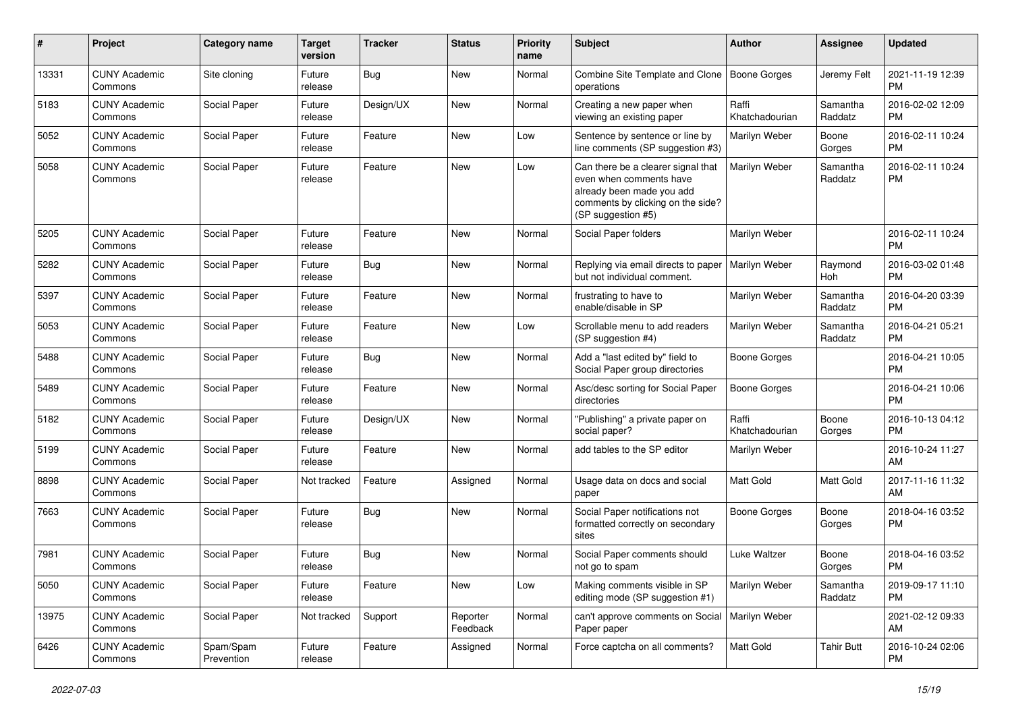| #     | Project                         | <b>Category name</b>    | <b>Target</b><br>version | <b>Tracker</b> | <b>Status</b>        | <b>Priority</b><br>name | Subject                                                                                                                                               | Author                  | Assignee            | <b>Updated</b>                |
|-------|---------------------------------|-------------------------|--------------------------|----------------|----------------------|-------------------------|-------------------------------------------------------------------------------------------------------------------------------------------------------|-------------------------|---------------------|-------------------------------|
| 13331 | <b>CUNY Academic</b><br>Commons | Site cloning            | Future<br>release        | Bug            | <b>New</b>           | Normal                  | Combine Site Template and Clone   Boone Gorges<br>operations                                                                                          |                         | Jeremy Felt         | 2021-11-19 12:39<br><b>PM</b> |
| 5183  | <b>CUNY Academic</b><br>Commons | Social Paper            | Future<br>release        | Design/UX      | New                  | Normal                  | Creating a new paper when<br>viewing an existing paper                                                                                                | Raffi<br>Khatchadourian | Samantha<br>Raddatz | 2016-02-02 12:09<br><b>PM</b> |
| 5052  | <b>CUNY Academic</b><br>Commons | Social Paper            | Future<br>release        | Feature        | <b>New</b>           | Low                     | Sentence by sentence or line by<br>line comments (SP suggestion #3)                                                                                   | Marilyn Weber           | Boone<br>Gorges     | 2016-02-11 10:24<br><b>PM</b> |
| 5058  | <b>CUNY Academic</b><br>Commons | Social Paper            | Future<br>release        | Feature        | <b>New</b>           | Low                     | Can there be a clearer signal that<br>even when comments have<br>already been made you add<br>comments by clicking on the side?<br>(SP suggestion #5) | Marilyn Weber           | Samantha<br>Raddatz | 2016-02-11 10:24<br><b>PM</b> |
| 5205  | <b>CUNY Academic</b><br>Commons | Social Paper            | Future<br>release        | Feature        | New                  | Normal                  | Social Paper folders                                                                                                                                  | Marilyn Weber           |                     | 2016-02-11 10:24<br><b>PM</b> |
| 5282  | <b>CUNY Academic</b><br>Commons | Social Paper            | Future<br>release        | Bug            | New                  | Normal                  | Replying via email directs to paper<br>but not individual comment.                                                                                    | Marilyn Weber           | Raymond<br>Hoh      | 2016-03-02 01:48<br><b>PM</b> |
| 5397  | <b>CUNY Academic</b><br>Commons | Social Paper            | Future<br>release        | Feature        | <b>New</b>           | Normal                  | frustrating to have to<br>enable/disable in SP                                                                                                        | Marilyn Weber           | Samantha<br>Raddatz | 2016-04-20 03:39<br><b>PM</b> |
| 5053  | <b>CUNY Academic</b><br>Commons | Social Paper            | Future<br>release        | Feature        | <b>New</b>           | Low                     | Scrollable menu to add readers<br>(SP suggestion #4)                                                                                                  | Marilyn Weber           | Samantha<br>Raddatz | 2016-04-21 05:21<br><b>PM</b> |
| 5488  | <b>CUNY Academic</b><br>Commons | Social Paper            | Future<br>release        | Bug            | New                  | Normal                  | Add a "last edited by" field to<br>Social Paper group directories                                                                                     | <b>Boone Gorges</b>     |                     | 2016-04-21 10:05<br><b>PM</b> |
| 5489  | <b>CUNY Academic</b><br>Commons | Social Paper            | Future<br>release        | Feature        | New                  | Normal                  | Asc/desc sorting for Social Paper<br>directories                                                                                                      | <b>Boone Gorges</b>     |                     | 2016-04-21 10:06<br><b>PM</b> |
| 5182  | <b>CUNY Academic</b><br>Commons | Social Paper            | Future<br>release        | Design/UX      | <b>New</b>           | Normal                  | "Publishing" a private paper on<br>social paper?                                                                                                      | Raffi<br>Khatchadourian | Boone<br>Gorges     | 2016-10-13 04:12<br><b>PM</b> |
| 5199  | <b>CUNY Academic</b><br>Commons | Social Paper            | Future<br>release        | Feature        | <b>New</b>           | Normal                  | add tables to the SP editor                                                                                                                           | Marilyn Weber           |                     | 2016-10-24 11:27<br>AM        |
| 8898  | <b>CUNY Academic</b><br>Commons | Social Paper            | Not tracked              | Feature        | Assigned             | Normal                  | Usage data on docs and social<br>paper                                                                                                                | <b>Matt Gold</b>        | Matt Gold           | 2017-11-16 11:32<br>AM        |
| 7663  | <b>CUNY Academic</b><br>Commons | Social Paper            | Future<br>release        | Bug            | <b>New</b>           | Normal                  | Social Paper notifications not<br>formatted correctly on secondary<br>sites                                                                           | Boone Gorges            | Boone<br>Gorges     | 2018-04-16 03:52<br>PM        |
| 7981  | <b>CUNY Academic</b><br>Commons | Social Paper            | Future<br>release        | Bug            | <b>New</b>           | Normal                  | Social Paper comments should<br>not go to spam                                                                                                        | Luke Waltzer            | Boone<br>Gorges     | 2018-04-16 03:52<br><b>PM</b> |
| 5050  | <b>CUNY Academic</b><br>Commons | Social Paper            | Future<br>release        | Feature        | New                  | Low                     | Making comments visible in SP<br>editing mode (SP suggestion #1)                                                                                      | Marilyn Weber           | Samantha<br>Raddatz | 2019-09-17 11:10<br><b>PM</b> |
| 13975 | <b>CUNY Academic</b><br>Commons | Social Paper            | Not tracked              | Support        | Reporter<br>Feedback | Normal                  | can't approve comments on Social   Marilyn Weber<br>Paper paper                                                                                       |                         |                     | 2021-02-12 09:33<br>AM        |
| 6426  | <b>CUNY Academic</b><br>Commons | Spam/Spam<br>Prevention | Future<br>release        | Feature        | Assigned             | Normal                  | Force captcha on all comments?                                                                                                                        | Matt Gold               | <b>Tahir Butt</b>   | 2016-10-24 02:06<br><b>PM</b> |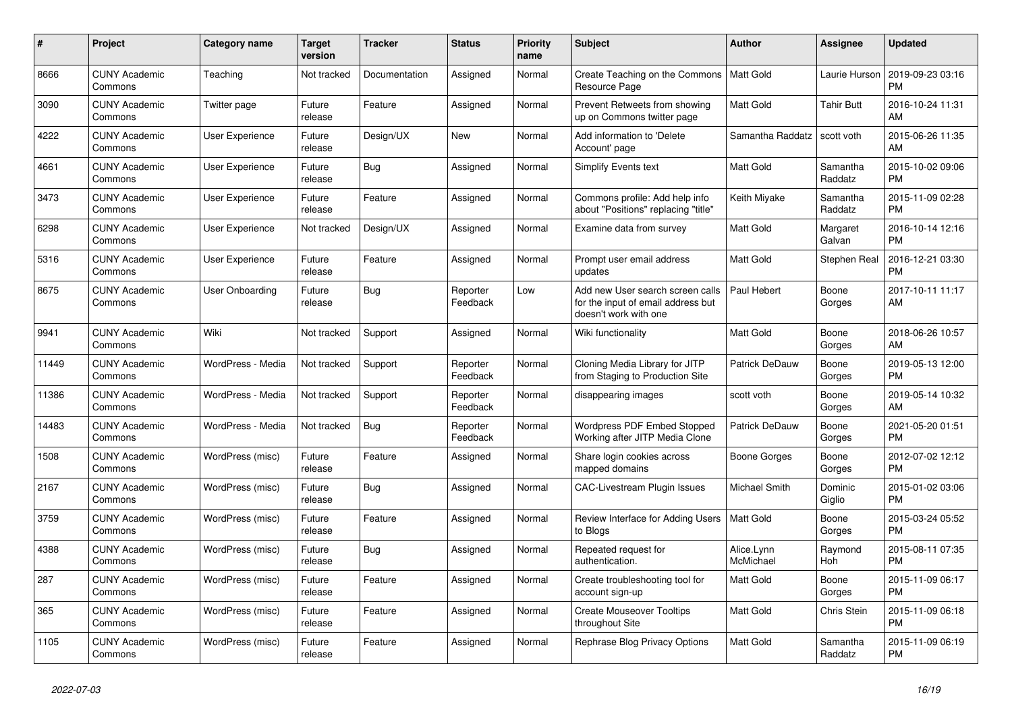| #     | <b>Project</b>                  | Category name          | <b>Target</b><br>version | <b>Tracker</b> | <b>Status</b>        | Priority<br>name | <b>Subject</b>                                                                                  | <b>Author</b>           | Assignee            | <b>Updated</b>                |
|-------|---------------------------------|------------------------|--------------------------|----------------|----------------------|------------------|-------------------------------------------------------------------------------------------------|-------------------------|---------------------|-------------------------------|
| 8666  | <b>CUNY Academic</b><br>Commons | Teaching               | Not tracked              | Documentation  | Assigned             | Normal           | Create Teaching on the Commons<br>Resource Page                                                 | Matt Gold               | Laurie Hurson       | 2019-09-23 03:16<br><b>PM</b> |
| 3090  | <b>CUNY Academic</b><br>Commons | Twitter page           | Future<br>release        | Feature        | Assigned             | Normal           | Prevent Retweets from showing<br>up on Commons twitter page                                     | Matt Gold               | <b>Tahir Butt</b>   | 2016-10-24 11:31<br>AM        |
| 4222  | <b>CUNY Academic</b><br>Commons | User Experience        | Future<br>release        | Design/UX      | New                  | Normal           | Add information to 'Delete<br>Account' page                                                     | Samantha Raddatz        | scott voth          | 2015-06-26 11:35<br>AM        |
| 4661  | <b>CUNY Academic</b><br>Commons | <b>User Experience</b> | Future<br>release        | Bug            | Assigned             | Normal           | <b>Simplify Events text</b>                                                                     | Matt Gold               | Samantha<br>Raddatz | 2015-10-02 09:06<br><b>PM</b> |
| 3473  | <b>CUNY Academic</b><br>Commons | <b>User Experience</b> | Future<br>release        | Feature        | Assigned             | Normal           | Commons profile: Add help info<br>about "Positions" replacing "title"                           | Keith Miyake            | Samantha<br>Raddatz | 2015-11-09 02:28<br><b>PM</b> |
| 6298  | <b>CUNY Academic</b><br>Commons | User Experience        | Not tracked              | Design/UX      | Assigned             | Normal           | Examine data from survey                                                                        | Matt Gold               | Margaret<br>Galvan  | 2016-10-14 12:16<br><b>PM</b> |
| 5316  | <b>CUNY Academic</b><br>Commons | User Experience        | Future<br>release        | Feature        | Assigned             | Normal           | Prompt user email address<br>updates                                                            | <b>Matt Gold</b>        | Stephen Real        | 2016-12-21 03:30<br><b>PM</b> |
| 8675  | <b>CUNY Academic</b><br>Commons | User Onboarding        | Future<br>release        | Bug            | Reporter<br>Feedback | Low              | Add new User search screen calls<br>for the input of email address but<br>doesn't work with one | Paul Hebert             | Boone<br>Gorges     | 2017-10-11 11:17<br>AM        |
| 9941  | <b>CUNY Academic</b><br>Commons | Wiki                   | Not tracked              | Support        | Assigned             | Normal           | Wiki functionality                                                                              | <b>Matt Gold</b>        | Boone<br>Gorges     | 2018-06-26 10:57<br>AM        |
| 11449 | <b>CUNY Academic</b><br>Commons | WordPress - Media      | Not tracked              | Support        | Reporter<br>Feedback | Normal           | Cloning Media Library for JITP<br>from Staging to Production Site                               | Patrick DeDauw          | Boone<br>Gorges     | 2019-05-13 12:00<br><b>PM</b> |
| 11386 | <b>CUNY Academic</b><br>Commons | WordPress - Media      | Not tracked              | Support        | Reporter<br>Feedback | Normal           | disappearing images                                                                             | scott voth              | Boone<br>Gorges     | 2019-05-14 10:32<br>AM        |
| 14483 | <b>CUNY Academic</b><br>Commons | WordPress - Media      | Not tracked              | Bug            | Reporter<br>Feedback | Normal           | Wordpress PDF Embed Stopped<br>Working after JITP Media Clone                                   | Patrick DeDauw          | Boone<br>Gorges     | 2021-05-20 01:51<br><b>PM</b> |
| 1508  | <b>CUNY Academic</b><br>Commons | WordPress (misc)       | Future<br>release        | Feature        | Assigned             | Normal           | Share login cookies across<br>mapped domains                                                    | Boone Gorges            | Boone<br>Gorges     | 2012-07-02 12:12<br><b>PM</b> |
| 2167  | <b>CUNY Academic</b><br>Commons | WordPress (misc)       | Future<br>release        | Bug            | Assigned             | Normal           | CAC-Livestream Plugin Issues                                                                    | Michael Smith           | Dominic<br>Giglio   | 2015-01-02 03:06<br><b>PM</b> |
| 3759  | <b>CUNY Academic</b><br>Commons | WordPress (misc)       | Future<br>release        | Feature        | Assigned             | Normal           | Review Interface for Adding Users<br>to Blogs                                                   | <b>Matt Gold</b>        | Boone<br>Gorges     | 2015-03-24 05:52<br><b>PM</b> |
| 4388  | <b>CUNY Academic</b><br>Commons | WordPress (misc)       | Future<br>release        | Bug            | Assigned             | Normal           | Repeated request for<br>authentication.                                                         | Alice.Lynn<br>McMichael | Raymond<br>Hoh      | 2015-08-11 07:35<br><b>PM</b> |
| 287   | <b>CUNY Academic</b><br>Commons | WordPress (misc)       | Future<br>release        | Feature        | Assigned             | Normal           | Create troubleshooting tool for<br>account sign-up                                              | Matt Gold               | Boone<br>Gorges     | 2015-11-09 06:17<br><b>PM</b> |
| 365   | <b>CUNY Academic</b><br>Commons | WordPress (misc)       | Future<br>release        | Feature        | Assigned             | Normal           | <b>Create Mouseover Tooltips</b><br>throughout Site                                             | Matt Gold               | Chris Stein         | 2015-11-09 06:18<br><b>PM</b> |
| 1105  | <b>CUNY Academic</b><br>Commons | WordPress (misc)       | Future<br>release        | Feature        | Assigned             | Normal           | Rephrase Blog Privacy Options                                                                   | <b>Matt Gold</b>        | Samantha<br>Raddatz | 2015-11-09 06:19<br><b>PM</b> |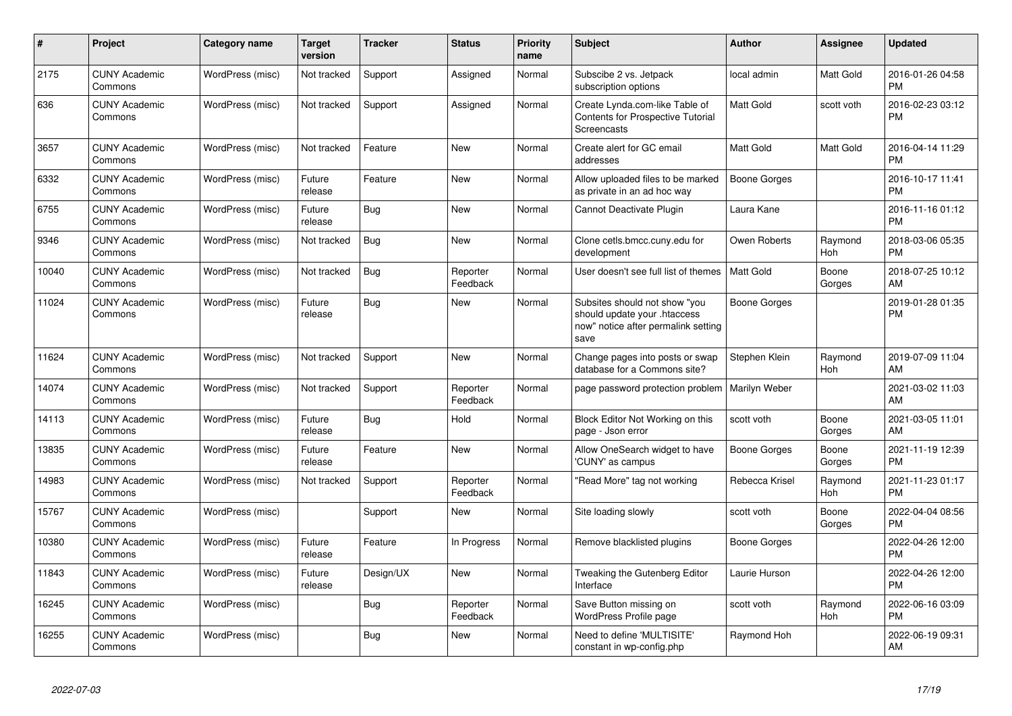| #     | Project                         | <b>Category name</b> | <b>Target</b><br>version | <b>Tracker</b> | <b>Status</b>        | <b>Priority</b><br>name | <b>Subject</b>                                                                                               | <b>Author</b>    | Assignee         | <b>Updated</b>                |
|-------|---------------------------------|----------------------|--------------------------|----------------|----------------------|-------------------------|--------------------------------------------------------------------------------------------------------------|------------------|------------------|-------------------------------|
| 2175  | <b>CUNY Academic</b><br>Commons | WordPress (misc)     | Not tracked              | Support        | Assigned             | Normal                  | Subscibe 2 vs. Jetpack<br>subscription options                                                               | local admin      | <b>Matt Gold</b> | 2016-01-26 04:58<br><b>PM</b> |
| 636   | <b>CUNY Academic</b><br>Commons | WordPress (misc)     | Not tracked              | Support        | Assigned             | Normal                  | Create Lynda.com-like Table of<br><b>Contents for Prospective Tutorial</b><br>Screencasts                    | <b>Matt Gold</b> | scott voth       | 2016-02-23 03:12<br><b>PM</b> |
| 3657  | <b>CUNY Academic</b><br>Commons | WordPress (misc)     | Not tracked              | Feature        | <b>New</b>           | Normal                  | Create alert for GC email<br>addresses                                                                       | <b>Matt Gold</b> | Matt Gold        | 2016-04-14 11:29<br><b>PM</b> |
| 6332  | <b>CUNY Academic</b><br>Commons | WordPress (misc)     | Future<br>release        | Feature        | <b>New</b>           | Normal                  | Allow uploaded files to be marked<br>as private in an ad hoc way                                             | Boone Gorges     |                  | 2016-10-17 11:41<br><b>PM</b> |
| 6755  | <b>CUNY Academic</b><br>Commons | WordPress (misc)     | Future<br>release        | Bug            | <b>New</b>           | Normal                  | Cannot Deactivate Plugin                                                                                     | Laura Kane       |                  | 2016-11-16 01:12<br><b>PM</b> |
| 9346  | <b>CUNY Academic</b><br>Commons | WordPress (misc)     | Not tracked              | Bug            | <b>New</b>           | Normal                  | Clone cetls.bmcc.cuny.edu for<br>development                                                                 | Owen Roberts     | Raymond<br>Hoh   | 2018-03-06 05:35<br><b>PM</b> |
| 10040 | <b>CUNY Academic</b><br>Commons | WordPress (misc)     | Not tracked              | Bug            | Reporter<br>Feedback | Normal                  | User doesn't see full list of themes                                                                         | <b>Matt Gold</b> | Boone<br>Gorges  | 2018-07-25 10:12<br>AM        |
| 11024 | <b>CUNY Academic</b><br>Commons | WordPress (misc)     | Future<br>release        | Bug            | New                  | Normal                  | Subsites should not show "you<br>should update your .htaccess<br>now" notice after permalink setting<br>save | Boone Gorges     |                  | 2019-01-28 01:35<br><b>PM</b> |
| 11624 | <b>CUNY Academic</b><br>Commons | WordPress (misc)     | Not tracked              | Support        | <b>New</b>           | Normal                  | Change pages into posts or swap<br>database for a Commons site?                                              | Stephen Klein    | Raymond<br>Hoh   | 2019-07-09 11:04<br>AM        |
| 14074 | <b>CUNY Academic</b><br>Commons | WordPress (misc)     | Not tracked              | Support        | Reporter<br>Feedback | Normal                  | page password protection problem                                                                             | Marilyn Weber    |                  | 2021-03-02 11:03<br>AM        |
| 14113 | <b>CUNY Academic</b><br>Commons | WordPress (misc)     | Future<br>release        | Bug            | Hold                 | Normal                  | Block Editor Not Working on this<br>page - Json error                                                        | scott voth       | Boone<br>Gorges  | 2021-03-05 11:01<br>AM        |
| 13835 | <b>CUNY Academic</b><br>Commons | WordPress (misc)     | Future<br>release        | Feature        | <b>New</b>           | Normal                  | Allow OneSearch widget to have<br>'CUNY' as campus                                                           | Boone Gorges     | Boone<br>Gorges  | 2021-11-19 12:39<br><b>PM</b> |
| 14983 | <b>CUNY Academic</b><br>Commons | WordPress (misc)     | Not tracked              | Support        | Reporter<br>Feedback | Normal                  | 'Read More" tag not working                                                                                  | Rebecca Krisel   | Raymond<br>Hoh   | 2021-11-23 01:17<br><b>PM</b> |
| 15767 | <b>CUNY Academic</b><br>Commons | WordPress (misc)     |                          | Support        | <b>New</b>           | Normal                  | Site loading slowly                                                                                          | scott voth       | Boone<br>Gorges  | 2022-04-04 08:56<br><b>PM</b> |
| 10380 | <b>CUNY Academic</b><br>Commons | WordPress (misc)     | Future<br>release        | Feature        | In Progress          | Normal                  | Remove blacklisted plugins                                                                                   | Boone Gorges     |                  | 2022-04-26 12:00<br><b>PM</b> |
| 11843 | <b>CUNY Academic</b><br>Commons | WordPress (misc)     | Future<br>release        | Design/UX      | <b>New</b>           | Normal                  | Tweaking the Gutenberg Editor<br>Interface                                                                   | Laurie Hurson    |                  | 2022-04-26 12:00<br><b>PM</b> |
| 16245 | <b>CUNY Academic</b><br>Commons | WordPress (misc)     |                          | Bug            | Reporter<br>Feedback | Normal                  | Save Button missing on<br>WordPress Profile page                                                             | scott voth       | Raymond<br>Hoh   | 2022-06-16 03:09<br>PM        |
| 16255 | <b>CUNY Academic</b><br>Commons | WordPress (misc)     |                          | Bug            | <b>New</b>           | Normal                  | Need to define 'MULTISITE'<br>constant in wp-config.php                                                      | Raymond Hoh      |                  | 2022-06-19 09:31<br>AM        |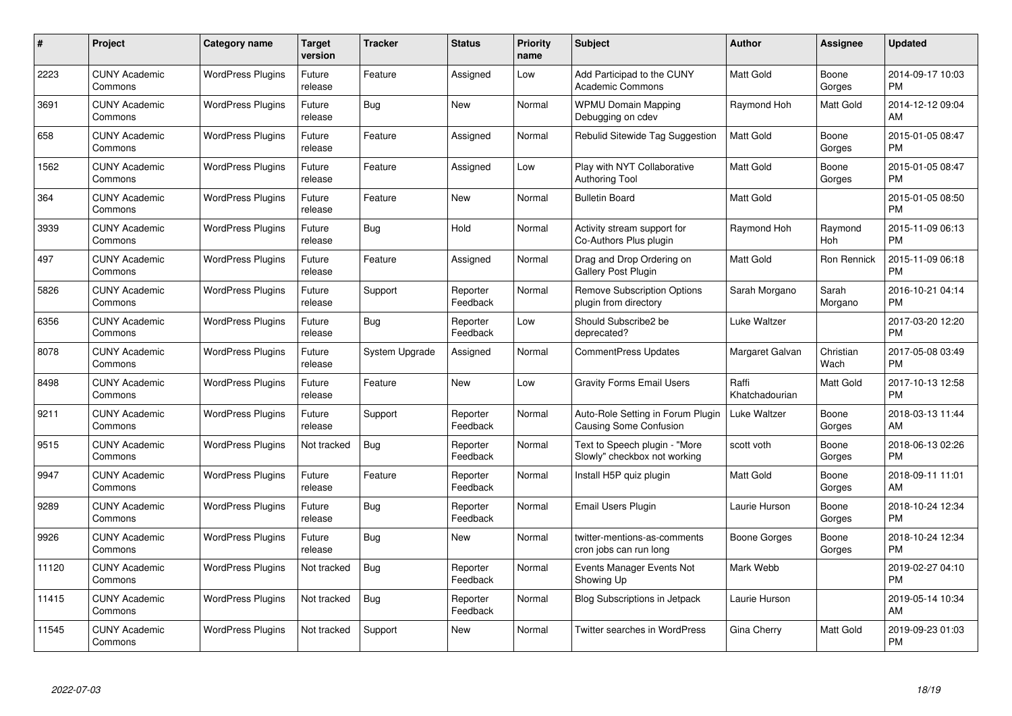| $\#$  | Project                         | <b>Category name</b>     | <b>Target</b><br>version | <b>Tracker</b> | <b>Status</b>        | Priority<br>name | <b>Subject</b>                                                | <b>Author</b>           | <b>Assignee</b>   | <b>Updated</b>                |
|-------|---------------------------------|--------------------------|--------------------------|----------------|----------------------|------------------|---------------------------------------------------------------|-------------------------|-------------------|-------------------------------|
| 2223  | <b>CUNY Academic</b><br>Commons | <b>WordPress Plugins</b> | Future<br>release        | Feature        | Assigned             | Low              | Add Participad to the CUNY<br><b>Academic Commons</b>         | <b>Matt Gold</b>        | Boone<br>Gorges   | 2014-09-17 10:03<br><b>PM</b> |
| 3691  | <b>CUNY Academic</b><br>Commons | <b>WordPress Plugins</b> | Future<br>release        | Bug            | <b>New</b>           | Normal           | <b>WPMU Domain Mapping</b><br>Debugging on cdev               | Raymond Hoh             | Matt Gold         | 2014-12-12 09:04<br>AM        |
| 658   | <b>CUNY Academic</b><br>Commons | <b>WordPress Plugins</b> | Future<br>release        | Feature        | Assigned             | Normal           | Rebulid Sitewide Tag Suggestion                               | Matt Gold               | Boone<br>Gorges   | 2015-01-05 08:47<br><b>PM</b> |
| 1562  | <b>CUNY Academic</b><br>Commons | <b>WordPress Plugins</b> | Future<br>release        | Feature        | Assigned             | Low              | Play with NYT Collaborative<br><b>Authoring Tool</b>          | <b>Matt Gold</b>        | Boone<br>Gorges   | 2015-01-05 08:47<br><b>PM</b> |
| 364   | <b>CUNY Academic</b><br>Commons | <b>WordPress Plugins</b> | Future<br>release        | Feature        | <b>New</b>           | Normal           | <b>Bulletin Board</b>                                         | Matt Gold               |                   | 2015-01-05 08:50<br><b>PM</b> |
| 3939  | <b>CUNY Academic</b><br>Commons | <b>WordPress Plugins</b> | Future<br>release        | <b>Bug</b>     | Hold                 | Normal           | Activity stream support for<br>Co-Authors Plus plugin         | Raymond Hoh             | Raymond<br>Hoh    | 2015-11-09 06:13<br><b>PM</b> |
| 497   | <b>CUNY Academic</b><br>Commons | <b>WordPress Plugins</b> | Future<br>release        | Feature        | Assigned             | Normal           | Drag and Drop Ordering on<br>Gallery Post Plugin              | <b>Matt Gold</b>        | Ron Rennick       | 2015-11-09 06:18<br><b>PM</b> |
| 5826  | <b>CUNY Academic</b><br>Commons | <b>WordPress Plugins</b> | Future<br>release        | Support        | Reporter<br>Feedback | Normal           | <b>Remove Subscription Options</b><br>plugin from directory   | Sarah Morgano           | Sarah<br>Morgano  | 2016-10-21 04:14<br><b>PM</b> |
| 6356  | <b>CUNY Academic</b><br>Commons | <b>WordPress Plugins</b> | Future<br>release        | Bug            | Reporter<br>Feedback | Low              | Should Subscribe2 be<br>deprecated?                           | Luke Waltzer            |                   | 2017-03-20 12:20<br><b>PM</b> |
| 8078  | <b>CUNY Academic</b><br>Commons | <b>WordPress Plugins</b> | Future<br>release        | System Upgrade | Assigned             | Normal           | <b>CommentPress Updates</b>                                   | Margaret Galvan         | Christian<br>Wach | 2017-05-08 03:49<br><b>PM</b> |
| 8498  | <b>CUNY Academic</b><br>Commons | <b>WordPress Plugins</b> | Future<br>release        | Feature        | <b>New</b>           | Low              | <b>Gravity Forms Email Users</b>                              | Raffi<br>Khatchadourian | Matt Gold         | 2017-10-13 12:58<br><b>PM</b> |
| 9211  | <b>CUNY Academic</b><br>Commons | <b>WordPress Plugins</b> | Future<br>release        | Support        | Reporter<br>Feedback | Normal           | Auto-Role Setting in Forum Plugin<br>Causing Some Confusion   | Luke Waltzer            | Boone<br>Gorges   | 2018-03-13 11:44<br>AM        |
| 9515  | <b>CUNY Academic</b><br>Commons | <b>WordPress Plugins</b> | Not tracked              | Bug            | Reporter<br>Feedback | Normal           | Text to Speech plugin - "More<br>Slowly" checkbox not working | scott voth              | Boone<br>Gorges   | 2018-06-13 02:26<br><b>PM</b> |
| 9947  | <b>CUNY Academic</b><br>Commons | <b>WordPress Plugins</b> | Future<br>release        | Feature        | Reporter<br>Feedback | Normal           | Install H5P quiz plugin                                       | Matt Gold               | Boone<br>Gorges   | 2018-09-11 11:01<br>AM        |
| 9289  | <b>CUNY Academic</b><br>Commons | <b>WordPress Plugins</b> | Future<br>release        | Bug            | Reporter<br>Feedback | Normal           | Email Users Plugin                                            | Laurie Hurson           | Boone<br>Gorges   | 2018-10-24 12:34<br><b>PM</b> |
| 9926  | <b>CUNY Academic</b><br>Commons | <b>WordPress Plugins</b> | Future<br>release        | Bug            | New                  | Normal           | twitter-mentions-as-comments<br>cron jobs can run long        | <b>Boone Gorges</b>     | Boone<br>Gorges   | 2018-10-24 12:34<br><b>PM</b> |
| 11120 | <b>CUNY Academic</b><br>Commons | <b>WordPress Plugins</b> | Not tracked              | Bug            | Reporter<br>Feedback | Normal           | Events Manager Events Not<br>Showing Up                       | Mark Webb               |                   | 2019-02-27 04:10<br><b>PM</b> |
| 11415 | <b>CUNY Academic</b><br>Commons | <b>WordPress Plugins</b> | Not tracked              | Bug            | Reporter<br>Feedback | Normal           | Blog Subscriptions in Jetpack                                 | Laurie Hurson           |                   | 2019-05-14 10:34<br>AM        |
| 11545 | CUNY Academic<br>Commons        | <b>WordPress Plugins</b> | Not tracked              | Support        | <b>New</b>           | Normal           | Twitter searches in WordPress                                 | Gina Cherry             | Matt Gold         | 2019-09-23 01:03<br>PM        |